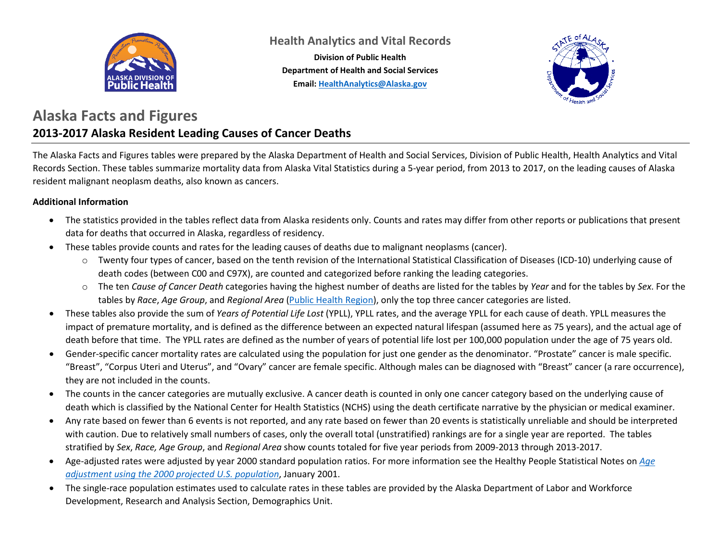

**Health Analytics and Vital Records**

**Division of Public Health Department of Health and Social Services Email: [HealthAnalytics@Alaska.gov](mailto:HealthAnalytics@Alaska.gov)**



#### **Alaska Facts and Figures 2013-2017 Alaska Resident Leading Causes of Cancer Deaths**

The Alaska Facts and Figures tables were prepared by the Alaska Department of Health and Social Services, Division of Public Health, Health Analytics and Vital Records Section. These tables summarize mortality data from Alaska Vital Statistics during a 5-year period, from 2013 to 2017, on the leading causes of Alaska resident malignant neoplasm deaths, also known as cancers.

#### **Additional Information**

- The statistics provided in the tables reflect data from Alaska residents only. Counts and rates may differ from other reports or publications that present data for deaths that occurred in Alaska, regardless of residency.
- These tables provide counts and rates for the leading causes of deaths due to malignant neoplasms (cancer).
	- o Twenty four types of cancer, based on the tenth revision of the International Statistical Classification of Diseases (ICD-10) underlying cause of death codes (between C00 and C97X), are counted and categorized before ranking the leading categories.
	- o The ten *Cause of Cancer Death* categories having the highest number of deaths are listed for the tables by *Year* and for the tables by *Sex*. For the tables by *Race*, *Age Group*, and *Regional Area* [\(Public Health Region\)](http://dhss.alaska.gov/dph/InfoCenter/Pages/ia/brfss/geo_phr.aspx), only the top three cancer categories are listed.
- These tables also provide the sum of *Years of Potential Life Lost* (YPLL), YPLL rates, and the average YPLL for each cause of death. YPLL measures the impact of premature mortality, and is defined as the difference between an expected natural lifespan (assumed here as 75 years), and the actual age of death before that time. The YPLL rates are defined as the number of years of potential life lost per 100,000 population under the age of 75 years old.
- Gender-specific cancer mortality rates are calculated using the population for just one gender as the denominator. "Prostate" cancer is male specific. "Breast", "Corpus Uteri and Uterus", and "Ovary" cancer are female specific. Although males can be diagnosed with "Breast" cancer (a rare occurrence), they are not included in the counts.
- The counts in the cancer categories are mutually exclusive. A cancer death is counted in only one cancer category based on the underlying cause of death which is classified by the National Center for Health Statistics (NCHS) using the death certificate narrative by the physician or medical examiner.
- Any rate based on fewer than 6 events is not reported, and any rate based on fewer than 20 events is statistically unreliable and should be interpreted with caution. Due to relatively small numbers of cases, only the overall total (unstratified) rankings are for a single year are reported. The tables stratified by *Sex*, *Race, Age Group*, and *Regional Area* show counts totaled for five year periods from 2009-2013 through 2013-2017.
- Age-adjusted rates were adjusted by year 2000 standard population ratios. For more information see the Healthy People Statistical Notes on *[Age](https://www.cdc.gov/nchs/data/statnt/statnt20.pdf)  [adjustment using the 2000 projected U.S. population](https://www.cdc.gov/nchs/data/statnt/statnt20.pdf)*, January 2001.
- The single-race population estimates used to calculate rates in these tables are provided by the Alaska Department of Labor and Workforce Development, Research and Analysis Section, Demographics Unit.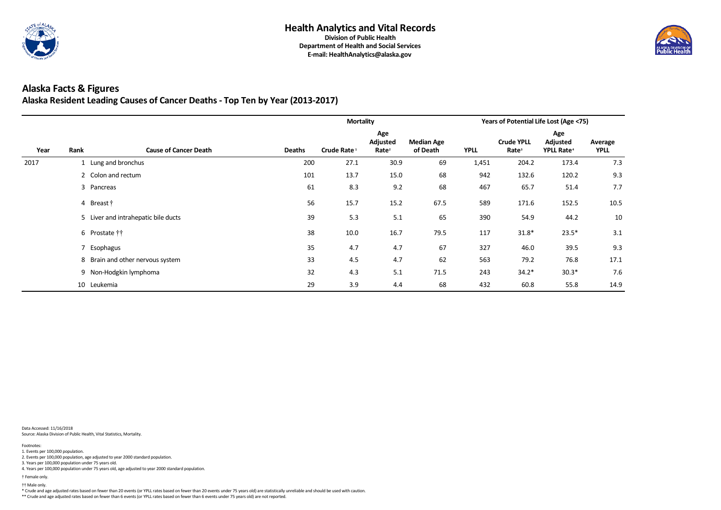

#### **Alaska Facts & Figures Alaska Resident Leading Causes of Cancer Deaths - Top Ten by Year (2013-2017)**

|      |      |                                     |                                                                                                                          | <b>Mortality</b> |      |      |             | <b>Years of Potential Life Lost (Age &lt;75)</b> |                                                 |                        |
|------|------|-------------------------------------|--------------------------------------------------------------------------------------------------------------------------|------------------|------|------|-------------|--------------------------------------------------|-------------------------------------------------|------------------------|
| Year | Rank | <b>Cause of Cancer Death</b>        | Age<br><b>Adjusted</b><br><b>Median Age</b><br>Crude Rate <sup>1</sup><br>of Death<br><b>Deaths</b><br>Rate <sup>2</sup> |                  |      |      | <b>YPLL</b> | <b>Crude YPLL</b><br>Rate <sup>3</sup>           | Age<br>Adjusted<br><b>YPLL Rate<sup>4</sup></b> | Average<br><b>YPLL</b> |
| 2017 |      | 1 Lung and bronchus                 | 200                                                                                                                      | 27.1             | 30.9 | 69   | 1,451       | 204.2                                            | 173.4                                           | 7.3                    |
|      |      | 2 Colon and rectum                  | 101                                                                                                                      | 13.7             | 15.0 | 68   | 942         | 132.6                                            | 120.2                                           | 9.3                    |
|      |      | 3 Pancreas                          | 61                                                                                                                       | 8.3              | 9.2  | 68   | 467         | 65.7                                             | 51.4                                            | 7.7                    |
|      |      | 4 Breast†                           | 56                                                                                                                       | 15.7             | 15.2 | 67.5 | 589         | 171.6                                            | 152.5                                           | 10.5                   |
|      |      | 5 Liver and intrahepatic bile ducts | 39                                                                                                                       | 5.3              | 5.1  | 65   | 390         | 54.9                                             | 44.2                                            | 10                     |
|      |      | 6 Prostate ††                       | 38                                                                                                                       | 10.0             | 16.7 | 79.5 | 117         | $31.8*$                                          | $23.5*$                                         | 3.1                    |
|      |      | 7 Esophagus                         | 35                                                                                                                       | 4.7              | 4.7  | 67   | 327         | 46.0                                             | 39.5                                            | 9.3                    |
|      |      | 8 Brain and other nervous system    | 33                                                                                                                       | 4.5              | 4.7  | 62   | 563         | 79.2                                             | 76.8                                            | 17.1                   |
|      |      | 9 Non-Hodgkin lymphoma              | 32                                                                                                                       | 4.3              | 5.1  | 71.5 | 243         | $34.2*$                                          | $30.3*$                                         | 7.6                    |
|      | 10   | Leukemia                            | 29                                                                                                                       | 3.9              | 4.4  | 68   | 432         | 60.8                                             | 55.8                                            | 14.9                   |

Data Accessed: 11/16/2018 Source: Alaska Division of Public Health, Vital Statistics, Mortality.

\* Crude and age adjusted rates based on fewer than 20 events (or YPLL rates based on fewer than 20 events under 75 years old) are statistically unreliable and should be used with caution.

\*\* Crude and age adjusted rates based on fewer than 6 events (or YPLL rates based on fewer than 6 events under 75 years old) are not reported.



† Male only. †

4. Years per 100,000 population under 75 years old, age adjusted to year 2000 standard population.

† Female only.

2. Events per 100,000 population, age adjusted to year 2000 standard population.

3. Years per 100,000 population under 75 years old.

Footnotes: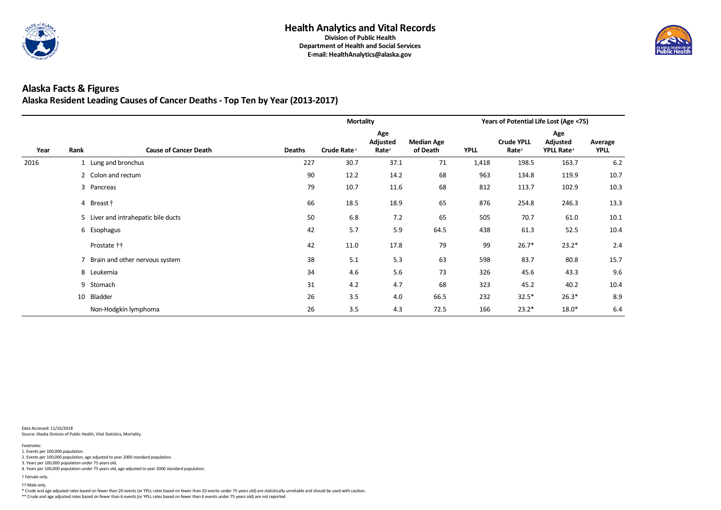

#### **Alaska Facts & Figures Alaska Resident Leading Causes of Cancer Deaths - Top Ten by Year (2013-2017)**

|      |      |                                     |               | <b>Mortality</b>        |                                             |                               |             |                                        | <b>Years of Potential Life Lost (Age &lt;75)</b> |                        |
|------|------|-------------------------------------|---------------|-------------------------|---------------------------------------------|-------------------------------|-------------|----------------------------------------|--------------------------------------------------|------------------------|
| Year | Rank | <b>Cause of Cancer Death</b>        | <b>Deaths</b> | Crude Rate <sup>1</sup> | Age<br><b>Adjusted</b><br>Rate <sup>2</sup> | <b>Median Age</b><br>of Death | <b>YPLL</b> | <b>Crude YPLL</b><br>Rate <sup>3</sup> | Age<br>Adjusted<br><b>YPLL Rate<sup>4</sup></b>  | Average<br><b>YPLL</b> |
| 2016 |      | 1 Lung and bronchus                 | 227           | 30.7                    | 37.1                                        | 71                            | 1,418       | 198.5                                  | 163.7                                            | 6.2                    |
|      |      | 2 Colon and rectum                  | 90            | 12.2                    | 14.2                                        | 68                            | 963         | 134.8                                  | 119.9                                            | 10.7                   |
|      |      | 3 Pancreas                          | 79            | 10.7                    | 11.6                                        | 68                            | 812         | 113.7                                  | 102.9                                            | 10.3                   |
|      |      | 4 Breast†                           | 66            | 18.5                    | 18.9                                        | 65                            | 876         | 254.8                                  | 246.3                                            | 13.3                   |
|      |      | 5 Liver and intrahepatic bile ducts | 50            | 6.8                     | 7.2                                         | 65                            | 505         | 70.7                                   | 61.0                                             | 10.1                   |
|      |      | 6 Esophagus                         | 42            | 5.7                     | 5.9                                         | 64.5                          | 438         | 61.3                                   | 52.5                                             | 10.4                   |
|      |      | Prostate ††                         | 42            | 11.0                    | 17.8                                        | 79                            | 99          | $26.7*$                                | $23.2*$                                          | 2.4                    |
|      |      | 7 Brain and other nervous system    | 38            | 5.1                     | 5.3                                         | 63                            | 598         | 83.7                                   | 80.8                                             | 15.7                   |
|      |      | 8 Leukemia                          | 34            | 4.6                     | 5.6                                         | 73                            | 326         | 45.6                                   | 43.3                                             | 9.6                    |
|      |      | 9 Stomach                           | 31            | 4.2                     | 4.7                                         | 68                            | 323         | 45.2                                   | 40.2                                             | 10.4                   |
|      | 10   | Bladder                             | 26            | 3.5                     | 4.0                                         | 66.5                          | 232         | $32.5*$                                | $26.3*$                                          | 8.9                    |
|      |      | Non-Hodgkin lymphoma                | 26            | 3.5                     | 4.3                                         | 72.5                          | 166         | $23.2*$                                | $18.0*$                                          | 6.4                    |

Data Accessed: 11/16/2018 Source: Alaska Division of Public Health, Vital Statistics, Mortality.

\* Crude and age adjusted rates based on fewer than 20 events (or YPLL rates based on fewer than 20 events under 75 years old) are statistically unreliable and should be used with caution.

\*\* Crude and age adjusted rates based on fewer than 6 events (or YPLL rates based on fewer than 6 events under 75 years old) are not reported.



† Male only. †

4. Years per 100,000 population under 75 years old, age adjusted to year 2000 standard population.

† Female only.

2. Events per 100,000 population, age adjusted to year 2000 standard population.

3. Years per 100,000 population under 75 years old.

Footnotes: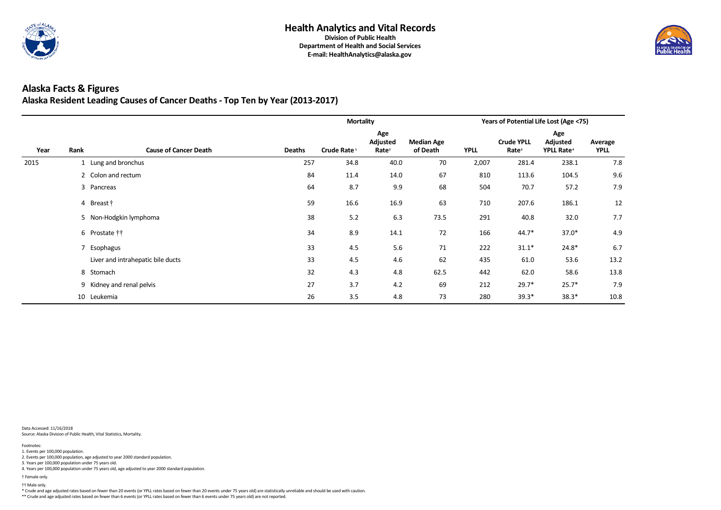

#### **Alaska Facts & Figures Alaska Resident Leading Causes of Cancer Deaths - Top Ten by Year (2013-2017)**

|      |      |                                   | <b>Mortality</b>                                                                                                         |      |      |      |             |                                        | <b>Years of Potential Life Lost (Age &lt;75)</b> |                        |
|------|------|-----------------------------------|--------------------------------------------------------------------------------------------------------------------------|------|------|------|-------------|----------------------------------------|--------------------------------------------------|------------------------|
| Year | Rank | <b>Cause of Cancer Death</b>      | Age<br><b>Adjusted</b><br><b>Median Age</b><br><b>Deaths</b><br>Crude Rate <sup>1</sup><br>of Death<br>Rate <sup>2</sup> |      |      |      | <b>YPLL</b> | <b>Crude YPLL</b><br>Rate <sup>3</sup> | Age<br>Adjusted<br>YPLL Rate <sup>4</sup>        | Average<br><b>YPLL</b> |
| 2015 |      | 1 Lung and bronchus               | 257                                                                                                                      | 34.8 | 40.0 | 70   | 2,007       | 281.4                                  | 238.1                                            | 7.8                    |
|      |      | 2 Colon and rectum                | 84                                                                                                                       | 11.4 | 14.0 | 67   | 810         | 113.6                                  | 104.5                                            | 9.6                    |
|      |      | 3 Pancreas                        | 64                                                                                                                       | 8.7  | 9.9  | 68   | 504         | 70.7                                   | 57.2                                             | 7.9                    |
|      |      | 4 Breast†                         | 59                                                                                                                       | 16.6 | 16.9 | 63   | 710         | 207.6                                  | 186.1                                            | 12                     |
|      |      | 5 Non-Hodgkin lymphoma            | 38                                                                                                                       | 5.2  | 6.3  | 73.5 | 291         | 40.8                                   | 32.0                                             | 7.7                    |
|      |      | 6 Prostate ††                     | 34                                                                                                                       | 8.9  | 14.1 | 72   | 166         | $44.7*$                                | $37.0*$                                          | 4.9                    |
|      |      | 7 Esophagus                       | 33                                                                                                                       | 4.5  | 5.6  | 71   | 222         | $31.1*$                                | $24.8*$                                          | 6.7                    |
|      |      | Liver and intrahepatic bile ducts | 33                                                                                                                       | 4.5  | 4.6  | 62   | 435         | 61.0                                   | 53.6                                             | 13.2                   |
|      |      | 8 Stomach                         | 32                                                                                                                       | 4.3  | 4.8  | 62.5 | 442         | 62.0                                   | 58.6                                             | 13.8                   |
|      |      | 9 Kidney and renal pelvis         | 27                                                                                                                       | 3.7  | 4.2  | 69   | 212         | $29.7*$                                | $25.7*$                                          | 7.9                    |
|      | 10   | Leukemia                          | 26                                                                                                                       | 3.5  | 4.8  | 73   | 280         | $39.3*$                                | $38.3*$                                          | 10.8                   |

Data Accessed: 11/16/2018 Source: Alaska Division of Public Health, Vital Statistics, Mortality.

\* Crude and age adjusted rates based on fewer than 20 events (or YPLL rates based on fewer than 20 events under 75 years old) are statistically unreliable and should be used with caution.

\*\* Crude and age adjusted rates based on fewer than 6 events (or YPLL rates based on fewer than 6 events under 75 years old) are not reported.



† Male only. †

4. Years per 100,000 population under 75 years old, age adjusted to year 2000 standard population.

† Female only.

2. Events per 100,000 population, age adjusted to year 2000 standard population.

3. Years per 100,000 population under 75 years old.

Footnotes: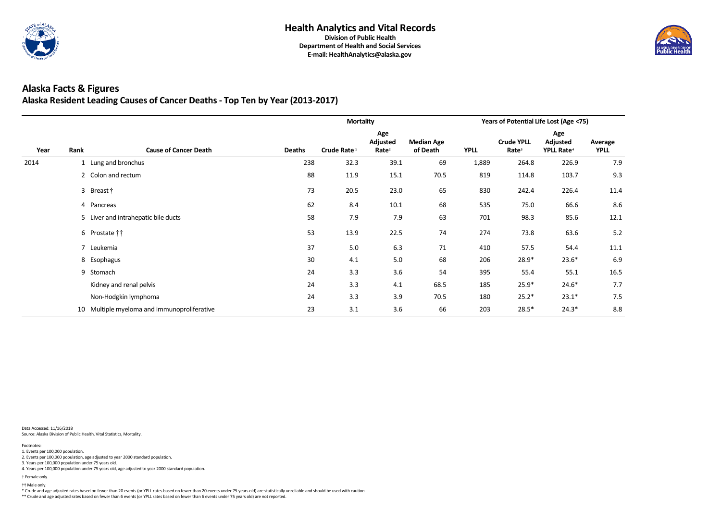

#### **Alaska Facts & Figures Alaska Resident Leading Causes of Cancer Deaths - Top Ten by Year (2013-2017)**

|      |      |                                          |               | <b>Mortality</b>        |                                             |                               |             |                                        | Years of Potential Life Lost (Age <75)           |                        |
|------|------|------------------------------------------|---------------|-------------------------|---------------------------------------------|-------------------------------|-------------|----------------------------------------|--------------------------------------------------|------------------------|
| Year | Rank | <b>Cause of Cancer Death</b>             | <b>Deaths</b> | Crude Rate <sup>1</sup> | Age<br><b>Adjusted</b><br>Rate <sup>2</sup> | <b>Median Age</b><br>of Death | <b>YPLL</b> | <b>Crude YPLL</b><br>Rate <sup>3</sup> | Age<br>Adjusted<br><b>YPLL Rate</b> <sup>4</sup> | Average<br><b>YPLL</b> |
| 2014 |      | 1 Lung and bronchus                      | 238           | 32.3                    | 39.1                                        | 69                            | 1,889       | 264.8                                  | 226.9                                            | 7.9                    |
|      |      | 2 Colon and rectum                       | 88            | 11.9                    | 15.1                                        | 70.5                          | 819         | 114.8                                  | 103.7                                            | 9.3                    |
|      |      | 3 Breast†                                | 73            | 20.5                    | 23.0                                        | 65                            | 830         | 242.4                                  | 226.4                                            | 11.4                   |
|      |      | 4 Pancreas                               | 62            | 8.4                     | 10.1                                        | 68                            | 535         | 75.0                                   | 66.6                                             | 8.6                    |
|      |      | 5 Liver and intrahepatic bile ducts      | 58            | 7.9                     | 7.9                                         | 63                            | 701         | 98.3                                   | 85.6                                             | 12.1                   |
|      |      | 6 Prostate ††                            | 53            | 13.9                    | 22.5                                        | 74                            | 274         | 73.8                                   | 63.6                                             | 5.2                    |
|      |      | 7 Leukemia                               | 37            | 5.0                     | 6.3                                         | 71                            | 410         | 57.5                                   | 54.4                                             | 11.1                   |
|      |      | 8 Esophagus                              | 30            | 4.1                     | $5.0$                                       | 68                            | 206         | $28.9*$                                | $23.6*$                                          | 6.9                    |
|      |      | 9 Stomach                                | 24            | 3.3                     | 3.6                                         | 54                            | 395         | 55.4                                   | 55.1                                             | 16.5                   |
|      |      | Kidney and renal pelvis                  | 24            | 3.3                     | 4.1                                         | 68.5                          | 185         | $25.9*$                                | $24.6*$                                          | 7.7                    |
|      |      | Non-Hodgkin lymphoma                     | 24            | 3.3                     | 3.9                                         | 70.5                          | 180         | $25.2*$                                | $23.1*$                                          | 7.5                    |
|      | 10   | Multiple myeloma and immunoproliferative | 23            | 3.1                     | 3.6                                         | 66                            | 203         | $28.5*$                                | $24.3*$                                          | 8.8                    |

Data Accessed: 11/16/2018 Source: Alaska Division of Public Health, Vital Statistics, Mortality.

\* Crude and age adjusted rates based on fewer than 20 events (or YPLL rates based on fewer than 20 events under 75 years old) are statistically unreliable and should be used with caution.

\*\* Crude and age adjusted rates based on fewer than 6 events (or YPLL rates based on fewer than 6 events under 75 years old) are not reported.



† Male only. †

4. Years per 100,000 population under 75 years old, age adjusted to year 2000 standard population.

† Female only.

2. Events per 100,000 population, age adjusted to year 2000 standard population.

3. Years per 100,000 population under 75 years old.

Footnotes: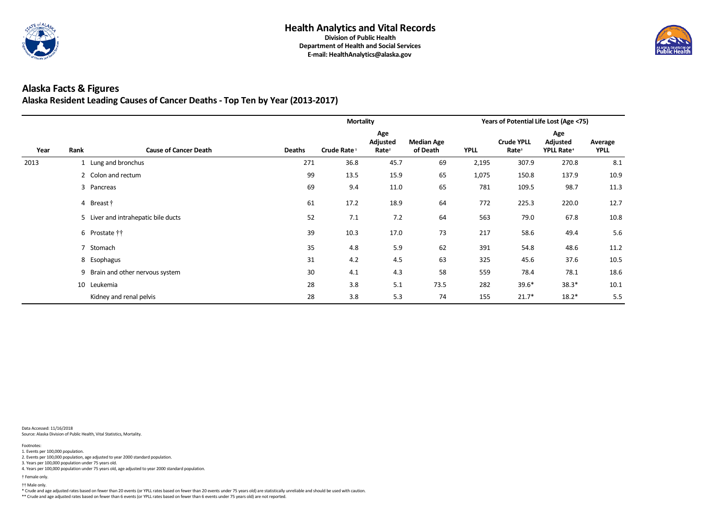

#### **Alaska Facts & Figures Alaska Resident Leading Causes of Cancer Deaths - Top Ten by Year (2013-2017)**

|      |      |                                     | <b>Mortality</b>                                                                                                  |      |      |      |             |                                        | Years of Potential Life Lost (Age <75)          |                        |
|------|------|-------------------------------------|-------------------------------------------------------------------------------------------------------------------|------|------|------|-------------|----------------------------------------|-------------------------------------------------|------------------------|
| Year | Rank | <b>Cause of Cancer Death</b>        | Age<br>Adjusted<br><b>Median Age</b><br>Crude Rate <sup>1</sup><br><b>Deaths</b><br>of Death<br>Rate <sup>2</sup> |      |      |      | <b>YPLL</b> | <b>Crude YPLL</b><br>Rate <sup>3</sup> | Age<br>Adjusted<br><b>YPLL Rate<sup>4</sup></b> | Average<br><b>YPLL</b> |
| 2013 |      | 1 Lung and bronchus                 | 271                                                                                                               | 36.8 | 45.7 | 69   | 2,195       | 307.9                                  | 270.8                                           | 8.1                    |
|      |      | 2 Colon and rectum                  | 99                                                                                                                | 13.5 | 15.9 | 65   | 1,075       | 150.8                                  | 137.9                                           | 10.9                   |
|      |      | 3 Pancreas                          | 69                                                                                                                | 9.4  | 11.0 | 65   | 781         | 109.5                                  | 98.7                                            | 11.3                   |
|      |      | 4 Breast†                           | 61                                                                                                                | 17.2 | 18.9 | 64   | 772         | 225.3                                  | 220.0                                           | 12.7                   |
|      |      | 5 Liver and intrahepatic bile ducts | 52                                                                                                                | 7.1  | 7.2  | 64   | 563         | 79.0                                   | 67.8                                            | 10.8                   |
|      |      | 6 Prostate ††                       | 39                                                                                                                | 10.3 | 17.0 | 73   | 217         | 58.6                                   | 49.4                                            | 5.6                    |
|      |      | 7 Stomach                           | 35                                                                                                                | 4.8  | 5.9  | 62   | 391         | 54.8                                   | 48.6                                            | 11.2                   |
|      |      | 8 Esophagus                         | 31                                                                                                                | 4.2  | 4.5  | 63   | 325         | 45.6                                   | 37.6                                            | 10.5                   |
|      |      | 9 Brain and other nervous system    | 30                                                                                                                | 4.1  | 4.3  | 58   | 559         | 78.4                                   | 78.1                                            | 18.6                   |
|      |      | 10 Leukemia                         | 28                                                                                                                | 3.8  | 5.1  | 73.5 | 282         | $39.6*$                                | $38.3*$                                         | 10.1                   |
|      |      | Kidney and renal pelvis             | 28                                                                                                                | 3.8  | 5.3  | 74   | 155         | $21.7*$                                | $18.2*$                                         | 5.5                    |

Data Accessed: 11/16/2018 Source: Alaska Division of Public Health, Vital Statistics, Mortality.

\* Crude and age adjusted rates based on fewer than 20 events (or YPLL rates based on fewer than 20 events under 75 years old) are statistically unreliable and should be used with caution.

\*\* Crude and age adjusted rates based on fewer than 6 events (or YPLL rates based on fewer than 6 events under 75 years old) are not reported.



† Male only. †

4. Years per 100,000 population under 75 years old, age adjusted to year 2000 standard population.

† Female only.

2. Events per 100,000 population, age adjusted to year 2000 standard population.

3. Years per 100,000 population under 75 years old.

Footnotes: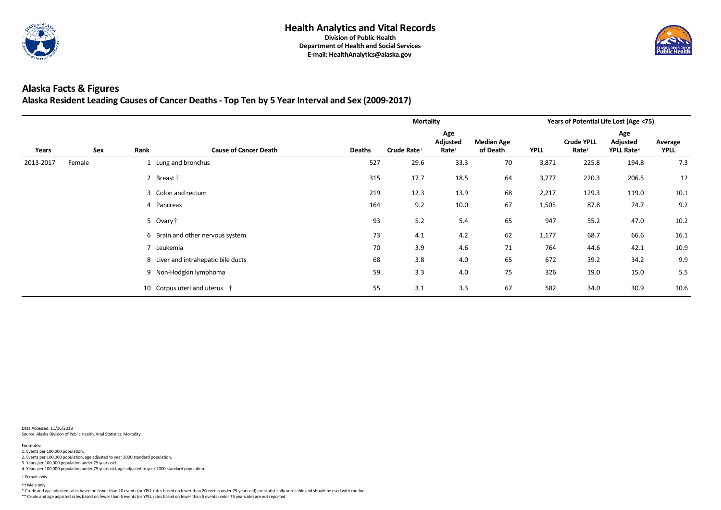

#### **Alaska Facts & Figures Alaska Resident Leading Causes of Cancer Deaths - Top Ten by 5 Year Interval and Sex (2009-2017)**

|           |        |            |                                     |               | <b>Mortality</b>        |                                      |                               |             |                                        | <b>Years of Potential Life Lost (Age &lt;75)</b> |                        |
|-----------|--------|------------|-------------------------------------|---------------|-------------------------|--------------------------------------|-------------------------------|-------------|----------------------------------------|--------------------------------------------------|------------------------|
| Years     | Sex    | Rank       | <b>Cause of Cancer Death</b>        | <b>Deaths</b> | Crude Rate <sup>1</sup> | Age<br>Adjusted<br>Rate <sup>2</sup> | <b>Median Age</b><br>of Death | <b>YPLL</b> | <b>Crude YPLL</b><br>Rate <sup>3</sup> | Age<br>Adjusted<br>YPLL Rate <sup>4</sup>        | Average<br><b>YPLL</b> |
| 2013-2017 | Female |            | 1 Lung and bronchus                 | 527           | 29.6                    | 33.3                                 | 70                            | 3,871       | 225.8                                  | 194.8                                            | 7.3                    |
|           |        | 2 Breast†  |                                     | 315           | 17.7                    | 18.5                                 | 64                            | 3,777       | 220.3                                  | 206.5                                            | 12                     |
|           |        |            | 3 Colon and rectum                  | 219           | 12.3                    | 13.9                                 | 68                            | 2,217       | 129.3                                  | 119.0                                            | 10.1                   |
|           |        | 4 Pancreas |                                     | 164           | 9.2                     | 10.0                                 | 67                            | 1,505       | 87.8                                   | 74.7                                             | 9.2                    |
|           |        | 5 Ovary†   |                                     | 93            | 5.2                     | 5.4                                  | 65                            | 947         | 55.2                                   | 47.0                                             | 10.2                   |
|           |        |            | 6 Brain and other nervous system    | 73            | 4.1                     | 4.2                                  | 62                            | 1,177       | 68.7                                   | 66.6                                             | 16.1                   |
|           |        | 7 Leukemia |                                     | 70            | 3.9                     | 4.6                                  | 71                            | 764         | 44.6                                   | 42.1                                             | 10.9                   |
|           |        |            | 8 Liver and intrahepatic bile ducts | 68            | 3.8                     | 4.0                                  | 65                            | 672         | 39.2                                   | 34.2                                             | 9.9                    |
|           |        |            | 9 Non-Hodgkin lymphoma              | 59            | 3.3                     | 4.0                                  | 75                            | 326         | 19.0                                   | 15.0                                             | 5.5                    |
|           |        |            | 10 Corpus uteri and uterus †        | 55            | 3.1                     | 3.3                                  | 67                            | 582         | 34.0                                   | 30.9                                             | 10.6                   |

Data Accessed: 11/16/2018 Source: Alaska Division of Public Health, Vital Statistics, Mortality.

\* Crude and age adjusted rates based on fewer than 20 events (or YPLL rates based on fewer than 20 events under 75 years old) are statistically unreliable and should be used with caution.

\*\* Crude and age adjusted rates based on fewer than 6 events (or YPLL rates based on fewer than 6 events under 75 years old) are not reported.



† Male only. †

4. Years per 100,000 population under 75 years old, age adjusted to year 2000 standard population.

† Female only.

2. Events per 100,000 population, age adjusted to year 2000 standard population.

3. Years per 100,000 population under 75 years old.

Footnotes: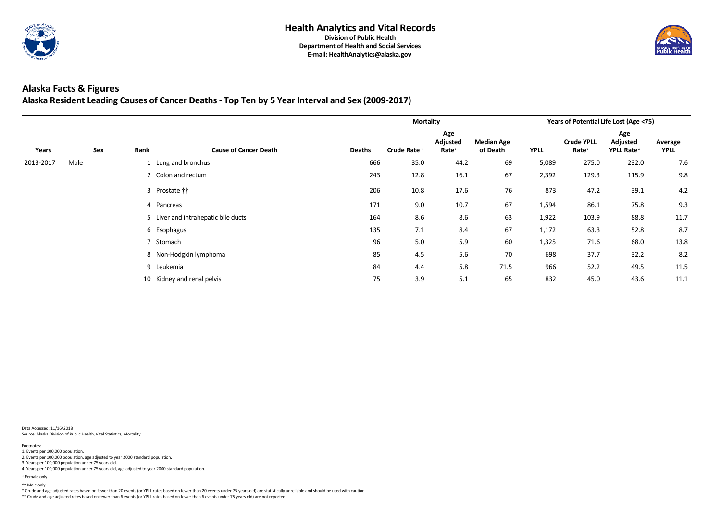

#### **Alaska Facts & Figures Alaska Resident Leading Causes of Cancer Deaths - Top Ten by 5 Year Interval and Sex (2009-2017)**

|           |      |            |                    |                                     | <b>Mortality</b> |                                                                                                         |      |      |             |                                        | <b>Years of Potential Life Lost (Age &lt;75)</b> |                        |
|-----------|------|------------|--------------------|-------------------------------------|------------------|---------------------------------------------------------------------------------------------------------|------|------|-------------|----------------------------------------|--------------------------------------------------|------------------------|
| Years     |      | <b>Sex</b> | Rank               | <b>Cause of Cancer Death</b>        | <b>Deaths</b>    | Age<br><b>Adjusted</b><br><b>Median Age</b><br>Crude Rate <sup>1</sup><br>Rate <sup>2</sup><br>of Death |      |      | <b>YPLL</b> | <b>Crude YPLL</b><br>Rate <sup>3</sup> | Age<br>Adjusted<br><b>YPLL Rate</b> <sup>4</sup> | Average<br><b>YPLL</b> |
| 2013-2017 | Male |            |                    | 1 Lung and bronchus                 | 666              | 35.0                                                                                                    | 44.2 | 69   | 5,089       | 275.0                                  | 232.0                                            | 7.6                    |
|           |      |            | 2 Colon and rectum |                                     | 243              | 12.8                                                                                                    | 16.1 | 67   | 2,392       | 129.3                                  | 115.9                                            | 9.8                    |
|           |      |            | 3 Prostate ††      |                                     | 206              | 10.8                                                                                                    | 17.6 | 76   | 873         | 47.2                                   | 39.1                                             | 4.2                    |
|           |      |            | 4 Pancreas         |                                     | 171              | 9.0                                                                                                     | 10.7 | 67   | 1,594       | 86.1                                   | 75.8                                             | 9.3                    |
|           |      |            |                    | 5 Liver and intrahepatic bile ducts | 164              | 8.6                                                                                                     | 8.6  | 63   | 1,922       | 103.9                                  | 88.8                                             | 11.7                   |
|           |      |            | 6 Esophagus        |                                     | 135              | 7.1                                                                                                     | 8.4  | 67   | 1,172       | 63.3                                   | 52.8                                             | 8.7                    |
|           |      |            | 7 Stomach          |                                     | 96               | 5.0                                                                                                     | 5.9  | 60   | 1,325       | 71.6                                   | 68.0                                             | 13.8                   |
|           |      |            |                    | 8 Non-Hodgkin lymphoma              | 85               | 4.5                                                                                                     | 5.6  | 70   | 698         | 37.7                                   | 32.2                                             | 8.2                    |
|           |      |            | 9 Leukemia         |                                     | 84               | 4.4                                                                                                     | 5.8  | 71.5 | 966         | 52.2                                   | 49.5                                             | 11.5                   |
|           |      |            |                    | 10 Kidney and renal pelvis          | 75               | 3.9                                                                                                     | 5.1  | 65   | 832         | 45.0                                   | 43.6                                             | 11.1                   |

Data Accessed: 11/16/2018 Source: Alaska Division of Public Health, Vital Statistics, Mortality.

\* Crude and age adjusted rates based on fewer than 20 events (or YPLL rates based on fewer than 20 events under 75 years old) are statistically unreliable and should be used with caution.

\*\* Crude and age adjusted rates based on fewer than 6 events (or YPLL rates based on fewer than 6 events under 75 years old) are not reported.



† Male only. †

4. Years per 100,000 population under 75 years old, age adjusted to year 2000 standard population.

† Female only.

2. Events per 100,000 population, age adjusted to year 2000 standard population.

3. Years per 100,000 population under 75 years old.

Footnotes: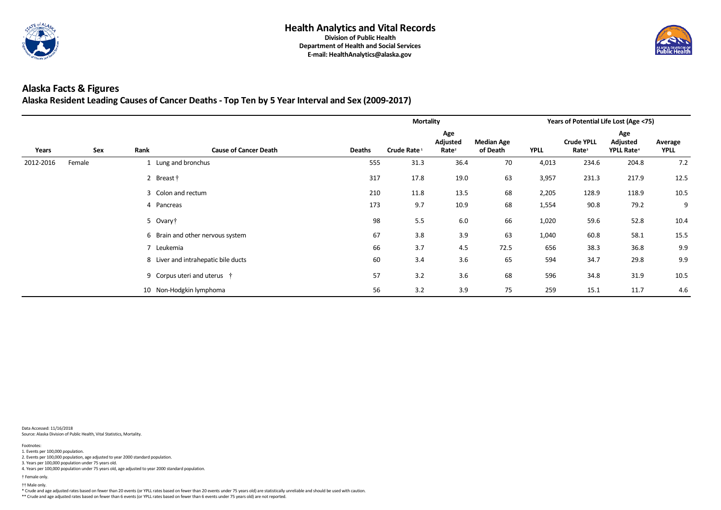

#### **Alaska Facts & Figures Alaska Resident Leading Causes of Cancer Deaths - Top Ten by 5 Year Interval and Sex (2009-2017)**

|           |        |                            |                                     |               | <b>Mortality</b>        |                                             |                               |             |                                        | <b>Years of Potential Life Lost (Age &lt;75)</b> |                        |
|-----------|--------|----------------------------|-------------------------------------|---------------|-------------------------|---------------------------------------------|-------------------------------|-------------|----------------------------------------|--------------------------------------------------|------------------------|
| Years     | Sex    | Rank                       | <b>Cause of Cancer Death</b>        | <b>Deaths</b> | Crude Rate <sup>1</sup> | Age<br><b>Adjusted</b><br>Rate <sup>2</sup> | <b>Median Age</b><br>of Death | <b>YPLL</b> | <b>Crude YPLL</b><br>Rate <sup>3</sup> | Age<br>Adjusted<br><b>YPLL Rate</b> <sup>4</sup> | Average<br><b>YPLL</b> |
| 2012-2016 | Female |                            | Lung and bronchus                   | 555           | 31.3                    | 36.4                                        | 70                            | 4,013       | 234.6                                  | 204.8                                            | 7.2                    |
|           |        | 2 Breast †                 |                                     | 317           | 17.8                    | 19.0                                        | 63                            | 3,957       | 231.3                                  | 217.9                                            | 12.5                   |
|           |        |                            | 3 Colon and rectum                  | 210           | 11.8                    | 13.5                                        | 68                            | 2,205       | 128.9                                  | 118.9                                            | 10.5                   |
|           |        | 4 Pancreas                 |                                     | 173           | 9.7                     | 10.9                                        | 68                            | 1,554       | 90.8                                   | 79.2                                             | 9                      |
|           |        | 5 Ovary†                   |                                     | 98            | 5.5                     | $6.0\,$                                     | 66                            | 1,020       | 59.6                                   | 52.8                                             | 10.4                   |
|           |        |                            | 6 Brain and other nervous system    | 67            | 3.8                     | 3.9                                         | 63                            | 1,040       | 60.8                                   | 58.1                                             | 15.5                   |
|           |        | Leukemia<br>$\overline{7}$ |                                     | 66            | 3.7                     | 4.5                                         | 72.5                          | 656         | 38.3                                   | 36.8                                             | 9.9                    |
|           |        |                            | 8 Liver and intrahepatic bile ducts | 60            | 3.4                     | 3.6                                         | 65                            | 594         | 34.7                                   | 29.8                                             | 9.9                    |
|           |        |                            | 9 Corpus uteri and uterus †         | 57            | 3.2                     | 3.6                                         | 68                            | 596         | 34.8                                   | 31.9                                             | 10.5                   |
|           |        |                            | 10 Non-Hodgkin lymphoma             | 56            | 3.2                     | 3.9                                         | 75                            | 259         | 15.1                                   | 11.7                                             | 4.6                    |

Data Accessed: 11/16/2018 Source: Alaska Division of Public Health, Vital Statistics, Mortality.

\* Crude and age adjusted rates based on fewer than 20 events (or YPLL rates based on fewer than 20 events under 75 years old) are statistically unreliable and should be used with caution.

\*\* Crude and age adjusted rates based on fewer than 6 events (or YPLL rates based on fewer than 6 events under 75 years old) are not reported.



† Male only. †

4. Years per 100,000 population under 75 years old, age adjusted to year 2000 standard population.

† Female only.

2. Events per 100,000 population, age adjusted to year 2000 standard population.

3. Years per 100,000 population under 75 years old.

Footnotes: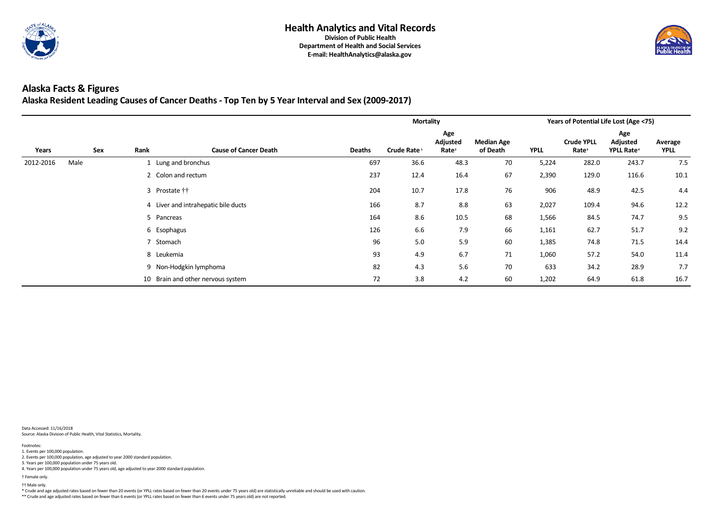

#### **Alaska Facts & Figures Alaska Resident Leading Causes of Cancer Deaths - Top Ten by 5 Year Interval and Sex (2009-2017)**

|           |      |            |               |                                     | <b>Mortality</b> |                                                                                                  |      |    |             |                                        | Years of Potential Life Lost (Age <75)                 |                        |
|-----------|------|------------|---------------|-------------------------------------|------------------|--------------------------------------------------------------------------------------------------|------|----|-------------|----------------------------------------|--------------------------------------------------------|------------------------|
| Years     |      | <b>Sex</b> | Rank          | <b>Cause of Cancer Death</b>        | <b>Deaths</b>    | Age<br>Adjusted<br><b>Median Age</b><br>Crude Rate <sup>1</sup><br>Rate <sup>2</sup><br>of Death |      |    | <b>YPLL</b> | <b>Crude YPLL</b><br>Rate <sup>3</sup> | Age<br><b>Adjusted</b><br><b>YPLL Rate<sup>4</sup></b> | Average<br><b>YPLL</b> |
| 2012-2016 | Male |            |               | 1 Lung and bronchus                 | 697              | 36.6                                                                                             | 48.3 | 70 | 5,224       | 282.0                                  | 243.7                                                  | 7.5                    |
|           |      |            |               | 2 Colon and rectum                  | 237              | 12.4                                                                                             | 16.4 | 67 | 2,390       | 129.0                                  | 116.6                                                  | 10.1                   |
|           |      |            | 3 Prostate †† |                                     | 204              | 10.7                                                                                             | 17.8 | 76 | 906         | 48.9                                   | 42.5                                                   | 4.4                    |
|           |      |            |               | 4 Liver and intrahepatic bile ducts | 166              | 8.7                                                                                              | 8.8  | 63 | 2,027       | 109.4                                  | 94.6                                                   | 12.2                   |
|           |      |            | 5 Pancreas    |                                     | 164              | 8.6                                                                                              | 10.5 | 68 | 1,566       | 84.5                                   | 74.7                                                   | 9.5                    |
|           |      |            | 6 Esophagus   |                                     | 126              | 6.6                                                                                              | 7.9  | 66 | 1,161       | 62.7                                   | 51.7                                                   | 9.2                    |
|           |      |            | 7 Stomach     |                                     | 96               | 5.0                                                                                              | 5.9  | 60 | 1,385       | 74.8                                   | 71.5                                                   | 14.4                   |
|           |      |            | 8 Leukemia    |                                     | 93               | 4.9                                                                                              | 6.7  | 71 | 1,060       | 57.2                                   | 54.0                                                   | 11.4                   |
|           |      |            |               | 9 Non-Hodgkin lymphoma              | 82               | 4.3                                                                                              | 5.6  | 70 | 633         | 34.2                                   | 28.9                                                   | 7.7                    |
|           |      |            | 10            | Brain and other nervous system      | 72               | 3.8                                                                                              | 4.2  | 60 | 1,202       | 64.9                                   | 61.8                                                   | 16.7                   |

Data Accessed: 11/16/2018 Source: Alaska Division of Public Health, Vital Statistics, Mortality.

\* Crude and age adjusted rates based on fewer than 20 events (or YPLL rates based on fewer than 20 events under 75 years old) are statistically unreliable and should be used with caution.

\*\* Crude and age adjusted rates based on fewer than 6 events (or YPLL rates based on fewer than 6 events under 75 years old) are not reported.



† Male only. †

4. Years per 100,000 population under 75 years old, age adjusted to year 2000 standard population.

† Female only.

2. Events per 100,000 population, age adjusted to year 2000 standard population.

3. Years per 100,000 population under 75 years old.

Footnotes: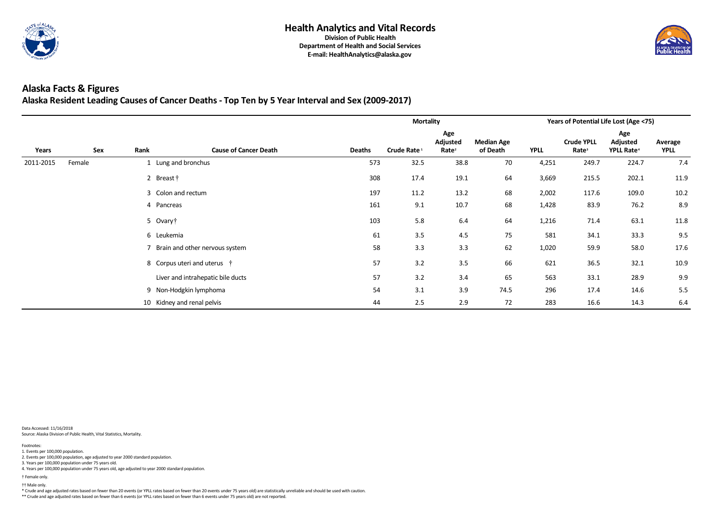

#### **Alaska Facts & Figures Alaska Resident Leading Causes of Cancer Deaths - Top Ten by 5 Year Interval and Sex (2009-2017)**

|           |        |            |                                   |               | <b>Mortality</b>        |                                      |                               |             | Years of Potential Life Lost (Age <75) |                                                        |                        |
|-----------|--------|------------|-----------------------------------|---------------|-------------------------|--------------------------------------|-------------------------------|-------------|----------------------------------------|--------------------------------------------------------|------------------------|
| Years     | Sex    | Rank       | <b>Cause of Cancer Death</b>      | <b>Deaths</b> | Crude Rate <sup>1</sup> | Age<br>Adjusted<br>Rate <sup>2</sup> | <b>Median Age</b><br>of Death | <b>YPLL</b> | <b>Crude YPLL</b><br>Rate <sup>3</sup> | Age<br><b>Adjusted</b><br><b>YPLL Rate<sup>4</sup></b> | Average<br><b>YPLL</b> |
| 2011-2015 | Female |            | 1 Lung and bronchus               | 573           | 32.5                    | 38.8                                 | 70                            | 4,251       | 249.7                                  | 224.7                                                  | 7.4                    |
|           |        | 2 Breast†  |                                   | 308           | 17.4                    | 19.1                                 | 64                            | 3,669       | 215.5                                  | 202.1                                                  | 11.9                   |
|           |        |            | 3 Colon and rectum                | 197           | 11.2                    | 13.2                                 | 68                            | 2,002       | 117.6                                  | 109.0                                                  | 10.2                   |
|           |        | 4 Pancreas |                                   | 161           | 9.1                     | 10.7                                 | 68                            | 1,428       | 83.9                                   | 76.2                                                   | 8.9                    |
|           |        | 5 Ovary†   |                                   | 103           | 5.8                     | 6.4                                  | 64                            | 1,216       | 71.4                                   | 63.1                                                   | 11.8                   |
|           |        | 6 Leukemia |                                   | 61            | 3.5                     | 4.5                                  | 75                            | 581         | 34.1                                   | 33.3                                                   | 9.5                    |
|           |        |            | 7 Brain and other nervous system  | 58            | 3.3                     | 3.3                                  | 62                            | 1,020       | 59.9                                   | 58.0                                                   | 17.6                   |
|           |        |            | 8 Corpus uteri and uterus †       | 57            | 3.2                     | 3.5                                  | 66                            | 621         | 36.5                                   | 32.1                                                   | 10.9                   |
|           |        |            | Liver and intrahepatic bile ducts | 57            | 3.2                     | 3.4                                  | 65                            | 563         | 33.1                                   | 28.9                                                   | 9.9                    |
|           |        |            | 9 Non-Hodgkin lymphoma            | 54            | 3.1                     | 3.9                                  | 74.5                          | 296         | 17.4                                   | 14.6                                                   | 5.5                    |
|           |        |            | 10 Kidney and renal pelvis        | 44            | 2.5                     | 2.9                                  | 72                            | 283         | 16.6                                   | 14.3                                                   | 6.4                    |

Data Accessed: 11/16/2018 Source: Alaska Division of Public Health, Vital Statistics, Mortality.

\* Crude and age adjusted rates based on fewer than 20 events (or YPLL rates based on fewer than 20 events under 75 years old) are statistically unreliable and should be used with caution.

\*\* Crude and age adjusted rates based on fewer than 6 events (or YPLL rates based on fewer than 6 events under 75 years old) are not reported.



† Male only. †

4. Years per 100,000 population under 75 years old, age adjusted to year 2000 standard population.

† Female only.

2. Events per 100,000 population, age adjusted to year 2000 standard population.

3. Years per 100,000 population under 75 years old.

Footnotes: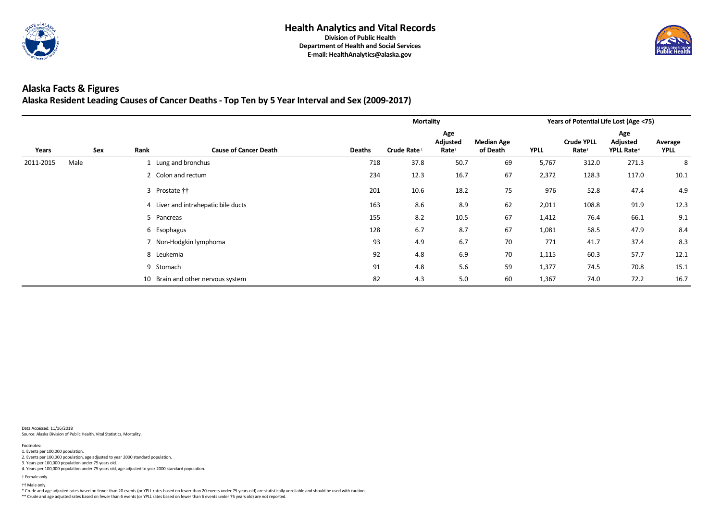

#### **Alaska Facts & Figures Alaska Resident Leading Causes of Cancer Deaths - Top Ten by 5 Year Interval and Sex (2009-2017)**

|           |      |     |               |                                     | <b>Mortality</b> |                                                                                                         |      |    |             |                                        | <b>Years of Potential Life Lost (Age &lt;75)</b>        |                        |
|-----------|------|-----|---------------|-------------------------------------|------------------|---------------------------------------------------------------------------------------------------------|------|----|-------------|----------------------------------------|---------------------------------------------------------|------------------------|
| Years     |      | Sex | Rank          | <b>Cause of Cancer Death</b>        | <b>Deaths</b>    | Age<br><b>Adjusted</b><br><b>Median Age</b><br>Crude Rate <sup>1</sup><br>Rate <sup>2</sup><br>of Death |      |    | <b>YPLL</b> | <b>Crude YPLL</b><br>Rate <sup>3</sup> | Age<br><b>Adjusted</b><br><b>YPLL Rate</b> <sup>4</sup> | Average<br><b>YPLL</b> |
| 2011-2015 | Male |     |               | Lung and bronchus                   | 718              | 37.8                                                                                                    | 50.7 | 69 | 5,767       | 312.0                                  | 271.3                                                   | 8                      |
|           |      |     |               | 2 Colon and rectum                  | 234              | 12.3                                                                                                    | 16.7 | 67 | 2,372       | 128.3                                  | 117.0                                                   | 10.1                   |
|           |      |     | 3 Prostate †† |                                     | 201              | 10.6                                                                                                    | 18.2 | 75 | 976         | 52.8                                   | 47.4                                                    | 4.9                    |
|           |      |     |               | 4 Liver and intrahepatic bile ducts | 163              | 8.6                                                                                                     | 8.9  | 62 | 2,011       | 108.8                                  | 91.9                                                    | 12.3                   |
|           |      |     | 5 Pancreas    |                                     | 155              | 8.2                                                                                                     | 10.5 | 67 | 1,412       | 76.4                                   | 66.1                                                    | 9.1                    |
|           |      |     | 6 Esophagus   |                                     | 128              | 6.7                                                                                                     | 8.7  | 67 | 1,081       | 58.5                                   | 47.9                                                    | 8.4                    |
|           |      |     |               | 7 Non-Hodgkin lymphoma              | 93               | 4.9                                                                                                     | 6.7  | 70 | 771         | 41.7                                   | 37.4                                                    | 8.3                    |
|           |      |     | 8 Leukemia    |                                     | 92               | 4.8                                                                                                     | 6.9  | 70 | 1,115       | 60.3                                   | 57.7                                                    | 12.1                   |
|           |      |     | 9 Stomach     |                                     | 91               | 4.8                                                                                                     | 5.6  | 59 | 1,377       | 74.5                                   | 70.8                                                    | 15.1                   |
|           |      |     | 10            | Brain and other nervous system      | 82               | 4.3                                                                                                     | 5.0  | 60 | 1,367       | 74.0                                   | 72.2                                                    | 16.7                   |

Data Accessed: 11/16/2018 Source: Alaska Division of Public Health, Vital Statistics, Mortality.

\* Crude and age adjusted rates based on fewer than 20 events (or YPLL rates based on fewer than 20 events under 75 years old) are statistically unreliable and should be used with caution.

\*\* Crude and age adjusted rates based on fewer than 6 events (or YPLL rates based on fewer than 6 events under 75 years old) are not reported.



† Male only. †

4. Years per 100,000 population under 75 years old, age adjusted to year 2000 standard population.

† Female only.

2. Events per 100,000 population, age adjusted to year 2000 standard population.

3. Years per 100,000 population under 75 years old.

Footnotes: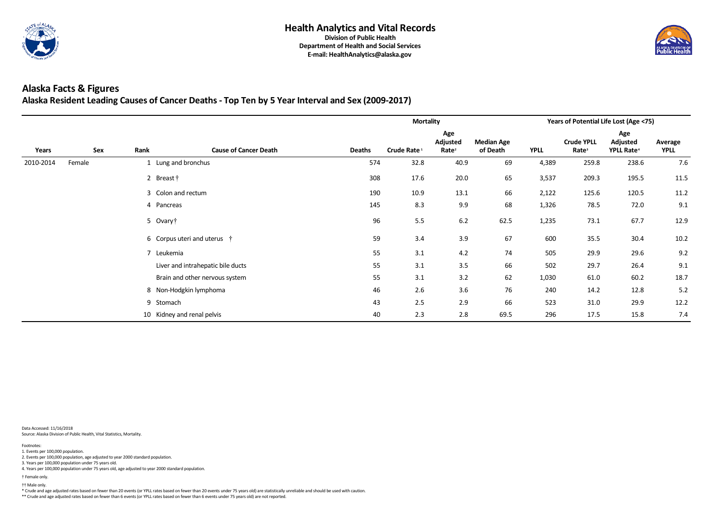

# **Alaska Facts & Figures**

## **Alaska Resident Leading Causes of Cancer Deaths - Top Ten by 5 Year Interval and Sex (2009-2017)**

|           |        |                            |                                     |               | <b>Mortality</b>        |                                      |                               |             | Years of Potential Life Lost (Age <75) |                                                  |                               |
|-----------|--------|----------------------------|-------------------------------------|---------------|-------------------------|--------------------------------------|-------------------------------|-------------|----------------------------------------|--------------------------------------------------|-------------------------------|
| Years     | Sex    | Rank                       | <b>Cause of Cancer Death</b>        | <b>Deaths</b> | Crude Rate <sup>1</sup> | Age<br>Adjusted<br>Rate <sup>2</sup> | <b>Median Age</b><br>of Death | <b>YPLL</b> | <b>Crude YPLL</b><br>Rate <sup>3</sup> | Age<br><b>Adjusted</b><br>YPLL Rate <sup>4</sup> | <b>Average</b><br><b>YPLL</b> |
| 2010-2014 | Female |                            | 1 Lung and bronchus                 | 574           | 32.8                    | 40.9                                 | 69                            | 4,389       | 259.8                                  | 238.6                                            | 7.6                           |
|           |        | 2 Breast †                 |                                     | 308           | 17.6                    | 20.0                                 | 65                            | 3,537       | 209.3                                  | 195.5                                            | 11.5                          |
|           |        |                            | 3 Colon and rectum                  | 190           | 10.9                    | 13.1                                 | 66                            | 2,122       | 125.6                                  | 120.5                                            | 11.2                          |
|           |        | Pancreas<br>4              |                                     | 145           | 8.3                     | 9.9                                  | 68                            | 1,326       | 78.5                                   | 72.0                                             | 9.1                           |
|           |        | 5 Ovary†                   |                                     | 96            | 5.5                     | 6.2                                  | 62.5                          | 1,235       | 73.1                                   | 67.7                                             | 12.9                          |
|           |        |                            | 6 Corpus uteri and uterus $\dagger$ | 59            | 3.4                     | 3.9                                  | 67                            | 600         | 35.5                                   | 30.4                                             | 10.2                          |
|           |        | $\overline{7}$<br>Leukemia |                                     | 55            | 3.1                     | 4.2                                  | 74                            | 505         | 29.9                                   | 29.6                                             | 9.2                           |
|           |        |                            | Liver and intrahepatic bile ducts   | 55            | 3.1                     | 3.5                                  | 66                            | 502         | 29.7                                   | 26.4                                             | 9.1                           |
|           |        |                            | Brain and other nervous system      | 55            | 3.1                     | 3.2                                  | 62                            | 1,030       | 61.0                                   | 60.2                                             | 18.7                          |
|           |        |                            | 8 Non-Hodgkin lymphoma              | 46            | 2.6                     | 3.6                                  | 76                            | 240         | 14.2                                   | 12.8                                             | 5.2                           |
|           |        | 9 Stomach                  |                                     | 43            | 2.5                     | 2.9                                  | 66                            | 523         | 31.0                                   | 29.9                                             | 12.2                          |
|           |        |                            | 10 Kidney and renal pelvis          | 40            | 2.3                     | 2.8                                  | 69.5                          | 296         | 17.5                                   | 15.8                                             | 7.4                           |

Data Accessed: 11/16/2018 Source: Alaska Division of Public Health, Vital Statistics, Mortality.

\* Crude and age adjusted rates based on fewer than 20 events (or YPLL rates based on fewer than 20 events under 75 years old) are statistically unreliable and should be used with caution.

\*\* Crude and age adjusted rates based on fewer than 6 events (or YPLL rates based on fewer than 6 events under 75 years old) are not reported.



† Male only. †

4. Years per 100,000 population under 75 years old, age adjusted to year 2000 standard population.

† Female only.

2. Events per 100,000 population, age adjusted to year 2000 standard population.

3. Years per 100,000 population under 75 years old.

Footnotes: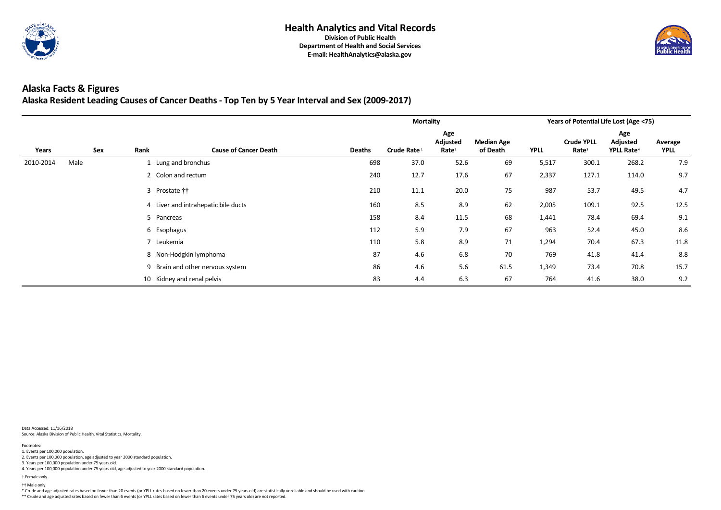

#### **Alaska Facts & Figures Alaska Resident Leading Causes of Cancer Deaths - Top Ten by 5 Year Interval and Sex (2009-2017)**

|           |      |     |                    |                                     |               | <b>Mortality</b>        |                                      |                               | <b>Years of Potential Life Lost (Age &lt;75)</b> |                                        |                                                  |                        |  |
|-----------|------|-----|--------------------|-------------------------------------|---------------|-------------------------|--------------------------------------|-------------------------------|--------------------------------------------------|----------------------------------------|--------------------------------------------------|------------------------|--|
| Years     |      | Sex | Rank               | <b>Cause of Cancer Death</b>        | <b>Deaths</b> | Crude Rate <sup>1</sup> | Age<br>Adjusted<br>Rate <sup>2</sup> | <b>Median Age</b><br>of Death | <b>YPLL</b>                                      | <b>Crude YPLL</b><br>Rate <sup>3</sup> | Age<br>Adjusted<br><b>YPLL Rate</b> <sup>4</sup> | Average<br><b>YPLL</b> |  |
| 2010-2014 | Male |     |                    | 1 Lung and bronchus                 | 698           | 37.0                    | 52.6                                 | 69                            | 5,517                                            | 300.1                                  | 268.2                                            | 7.9                    |  |
|           |      |     | 2 Colon and rectum |                                     | 240           | 12.7                    | 17.6                                 | 67                            | 2,337                                            | 127.1                                  | 114.0                                            | 9.7                    |  |
|           |      |     | 3 Prostate ††      |                                     | 210           | 11.1                    | 20.0                                 | 75                            | 987                                              | 53.7                                   | 49.5                                             | 4.7                    |  |
|           |      |     |                    | 4 Liver and intrahepatic bile ducts | 160           | 8.5                     | 8.9                                  | 62                            | 2,005                                            | 109.1                                  | 92.5                                             | 12.5                   |  |
|           |      |     | 5 Pancreas         |                                     | 158           | 8.4                     | 11.5                                 | 68                            | 1,441                                            | 78.4                                   | 69.4                                             | 9.1                    |  |
|           |      |     | 6 Esophagus        |                                     | 112           | 5.9                     | 7.9                                  | 67                            | 963                                              | 52.4                                   | 45.0                                             | 8.6                    |  |
|           |      |     | 7 Leukemia         |                                     | 110           | 5.8                     | 8.9                                  | 71                            | 1,294                                            | 70.4                                   | 67.3                                             | 11.8                   |  |
|           |      |     |                    | 8 Non-Hodgkin lymphoma              | 87            | 4.6                     | 6.8                                  | 70                            | 769                                              | 41.8                                   | 41.4                                             | 8.8                    |  |
|           |      |     |                    | 9 Brain and other nervous system    | 86            | 4.6                     | 5.6                                  | 61.5                          | 1,349                                            | 73.4                                   | 70.8                                             | 15.7                   |  |
|           |      |     | 10                 | Kidney and renal pelvis             | 83            | 4.4                     | 6.3                                  | 67                            | 764                                              | 41.6                                   | 38.0                                             | 9.2                    |  |

Data Accessed: 11/16/2018 Source: Alaska Division of Public Health, Vital Statistics, Mortality.

\* Crude and age adjusted rates based on fewer than 20 events (or YPLL rates based on fewer than 20 events under 75 years old) are statistically unreliable and should be used with caution.

\*\* Crude and age adjusted rates based on fewer than 6 events (or YPLL rates based on fewer than 6 events under 75 years old) are not reported.



† Male only. †

4. Years per 100,000 population under 75 years old, age adjusted to year 2000 standard population.

† Female only.

2. Events per 100,000 population, age adjusted to year 2000 standard population.

3. Years per 100,000 population under 75 years old.

Footnotes: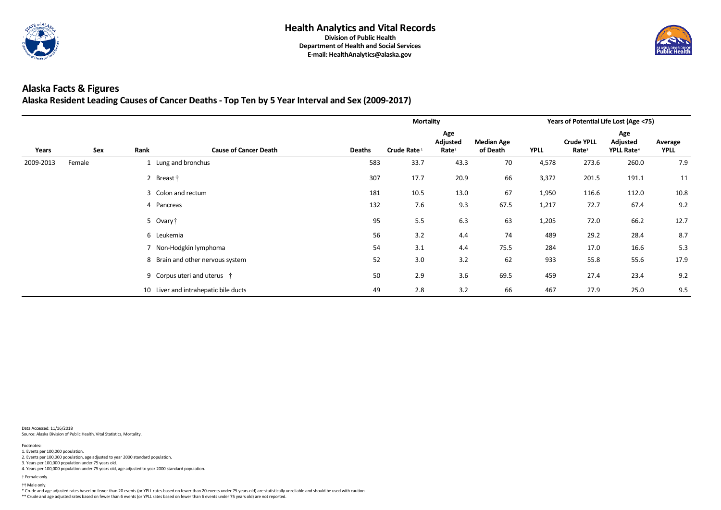

#### **Alaska Facts & Figures Alaska Resident Leading Causes of Cancer Deaths - Top Ten by 5 Year Interval and Sex (2009-2017)**

|           |        |            |                                   |               | <b>Mortality</b>        |                                      |                               | <b>Years of Potential Life Lost (Age &lt;75)</b> |                                        |                                                 |                        |  |
|-----------|--------|------------|-----------------------------------|---------------|-------------------------|--------------------------------------|-------------------------------|--------------------------------------------------|----------------------------------------|-------------------------------------------------|------------------------|--|
| Years     | Sex    | Rank       | <b>Cause of Cancer Death</b>      | <b>Deaths</b> | Crude Rate <sup>1</sup> | Age<br>Adjusted<br>Rate <sup>2</sup> | <b>Median Age</b><br>of Death | <b>YPLL</b>                                      | <b>Crude YPLL</b><br>Rate <sup>3</sup> | Age<br>Adjusted<br><b>YPLL Rate<sup>4</sup></b> | Average<br><b>YPLL</b> |  |
| 2009-2013 | Female |            | Lung and bronchus                 | 583           | 33.7                    | 43.3                                 | 70                            | 4,578                                            | 273.6                                  | 260.0                                           | 7.9                    |  |
|           |        | 2 Breast † |                                   | 307           | 17.7                    | 20.9                                 | 66                            | 3,372                                            | 201.5                                  | 191.1                                           | 11                     |  |
|           |        |            | 3 Colon and rectum                | 181           | 10.5                    | 13.0                                 | 67                            | 1,950                                            | 116.6                                  | 112.0                                           | 10.8                   |  |
|           |        | 4 Pancreas |                                   | 132           | 7.6                     | 9.3                                  | 67.5                          | 1,217                                            | 72.7                                   | 67.4                                            | 9.2                    |  |
|           |        | 5 Ovary†   |                                   | 95            | 5.5                     | 6.3                                  | 63                            | 1,205                                            | 72.0                                   | 66.2                                            | 12.7                   |  |
|           |        | 6 Leukemia |                                   | 56            | 3.2                     | 4.4                                  | 74                            | 489                                              | 29.2                                   | 28.4                                            | 8.7                    |  |
|           |        |            | Non-Hodgkin lymphoma              | 54            | 3.1                     | 4.4                                  | 75.5                          | 284                                              | 17.0                                   | 16.6                                            | 5.3                    |  |
|           |        |            | 8 Brain and other nervous system  | 52            | 3.0                     | 3.2                                  | 62                            | 933                                              | 55.8                                   | 55.6                                            | 17.9                   |  |
|           |        |            | 9 Corpus uteri and uterus †       | 50            | 2.9                     | 3.6                                  | 69.5                          | 459                                              | 27.4                                   | 23.4                                            | 9.2                    |  |
|           |        | 10         | Liver and intrahepatic bile ducts | 49            | 2.8                     | 3.2                                  | 66                            | 467                                              | 27.9                                   | 25.0                                            | 9.5                    |  |

Data Accessed: 11/16/2018 Source: Alaska Division of Public Health, Vital Statistics, Mortality.

\* Crude and age adjusted rates based on fewer than 20 events (or YPLL rates based on fewer than 20 events under 75 years old) are statistically unreliable and should be used with caution.

\*\* Crude and age adjusted rates based on fewer than 6 events (or YPLL rates based on fewer than 6 events under 75 years old) are not reported.



† Male only. †

4. Years per 100,000 population under 75 years old, age adjusted to year 2000 standard population.

† Female only.

2. Events per 100,000 population, age adjusted to year 2000 standard population.

3. Years per 100,000 population under 75 years old.

Footnotes: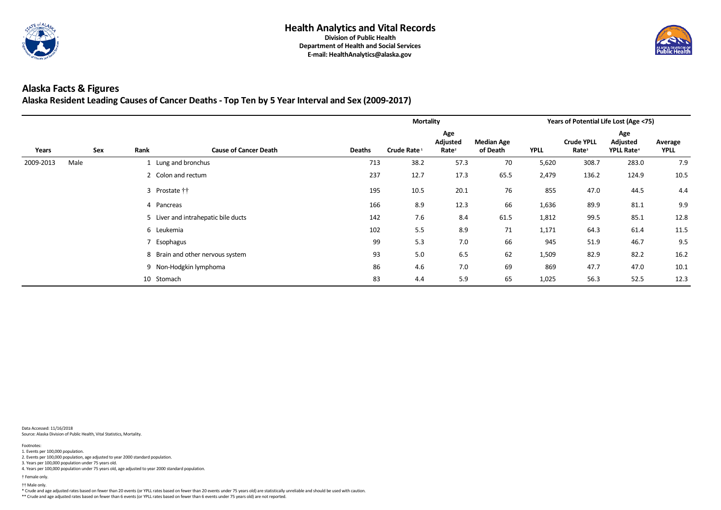

#### **Alaska Facts & Figures Alaska Resident Leading Causes of Cancer Deaths - Top Ten by 5 Year Interval and Sex (2009-2017)**

|           |      |     |                        |                                     |               | <b>Mortality</b>                                                       |      |                               | Years of Potential Life Lost (Age <75) |                                        |                                                 |                        |
|-----------|------|-----|------------------------|-------------------------------------|---------------|------------------------------------------------------------------------|------|-------------------------------|----------------------------------------|----------------------------------------|-------------------------------------------------|------------------------|
| Years     |      | Sex | Rank                   | <b>Cause of Cancer Death</b>        | <b>Deaths</b> | Age<br><b>Adjusted</b><br>Crude Rate <sup>1</sup><br>Rate <sup>2</sup> |      | <b>Median Age</b><br>of Death | <b>YPLL</b>                            | <b>Crude YPLL</b><br>Rate <sup>3</sup> | Age<br>Adjusted<br><b>YPLL Rate<sup>4</sup></b> | Average<br><b>YPLL</b> |
| 2009-2013 | Male |     |                        | Lung and bronchus                   | 713           | 38.2                                                                   | 57.3 | 70                            | 5,620                                  | 308.7                                  | 283.0                                           | 7.9                    |
|           |      |     |                        | 2 Colon and rectum                  |               | 12.7                                                                   | 17.3 | 65.5                          | 2,479                                  | 136.2                                  | 124.9                                           | 10.5                   |
|           |      |     | 3 Prostate ††          |                                     | 195           | 10.5                                                                   | 20.1 | 76                            | 855                                    | 47.0                                   | 44.5                                            | 4.4                    |
|           |      |     | 4 Pancreas             |                                     | 166           | 8.9                                                                    | 12.3 | 66                            | 1,636                                  | 89.9                                   | 81.1                                            | 9.9                    |
|           |      |     |                        | 5 Liver and intrahepatic bile ducts | 142           | 7.6                                                                    | 8.4  | 61.5                          | 1,812                                  | 99.5                                   | 85.1                                            | 12.8                   |
|           |      |     | 6 Leukemia             |                                     | 102           | 5.5                                                                    | 8.9  | 71                            | 1,171                                  | 64.3                                   | 61.4                                            | 11.5                   |
|           |      |     | Esophagus              |                                     | 99            | 5.3                                                                    | 7.0  | 66                            | 945                                    | 51.9                                   | 46.7                                            | 9.5                    |
|           |      |     |                        | 8 Brain and other nervous system    | 93            | 5.0                                                                    | 6.5  | 62                            | 1,509                                  | 82.9                                   | 82.2                                            | 16.2                   |
|           |      |     | 9 Non-Hodgkin lymphoma |                                     | 86            | 4.6                                                                    | 7.0  | 69                            | 869                                    | 47.7                                   | 47.0                                            | 10.1                   |
|           |      |     | 10 Stomach             |                                     | 83            | 4.4                                                                    | 5.9  | 65                            | 1,025                                  | 56.3                                   | 52.5                                            | 12.3                   |

Data Accessed: 11/16/2018 Source: Alaska Division of Public Health, Vital Statistics, Mortality.

\* Crude and age adjusted rates based on fewer than 20 events (or YPLL rates based on fewer than 20 events under 75 years old) are statistically unreliable and should be used with caution.

\*\* Crude and age adjusted rates based on fewer than 6 events (or YPLL rates based on fewer than 6 events under 75 years old) are not reported.



† Male only. †

4. Years per 100,000 population under 75 years old, age adjusted to year 2000 standard population.

† Female only.

2. Events per 100,000 population, age adjusted to year 2000 standard population.

3. Years per 100,000 population under 75 years old.

Footnotes: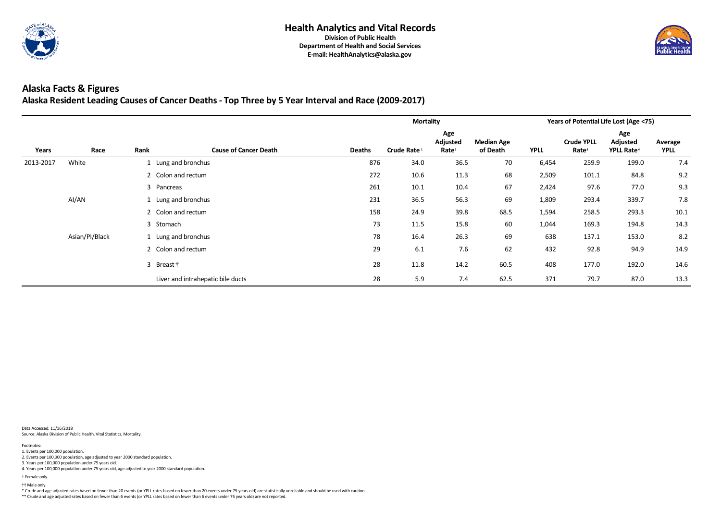

|           |                |                          |                                   | <b>Mortality</b> |                         |                                             |                               | <b>Years of Potential Life Lost (Age &lt;75)</b> |                                        |                                                        |                        |
|-----------|----------------|--------------------------|-----------------------------------|------------------|-------------------------|---------------------------------------------|-------------------------------|--------------------------------------------------|----------------------------------------|--------------------------------------------------------|------------------------|
| Years     | Race           | Rank                     | <b>Cause of Cancer Death</b>      | <b>Deaths</b>    | Crude Rate <sup>1</sup> | Age<br><b>Adjusted</b><br>Rate <sup>2</sup> | <b>Median Age</b><br>of Death | <b>YPLL</b>                                      | <b>Crude YPLL</b><br>Rate <sup>3</sup> | Age<br><b>Adjusted</b><br><b>YPLL Rate<sup>4</sup></b> | Average<br><b>YPLL</b> |
| 2013-2017 | White          | Lung and bronchus        |                                   | 876              | 34.0                    | 36.5                                        | 70                            | 6,454                                            | 259.9                                  | 199.0                                                  | 7.4                    |
|           |                | 2 Colon and rectum       |                                   | 272              | 10.6                    | 11.3                                        | 68                            | 2,509                                            | 101.1                                  | 84.8                                                   | 9.2                    |
|           |                | $\mathbf{3}$<br>Pancreas |                                   | 261              | 10.1                    | 10.4                                        | 67                            | 2,424                                            | 97.6                                   | 77.0                                                   | 9.3                    |
|           | AI/AN          | 1 Lung and bronchus      |                                   | 231              | 36.5                    | 56.3                                        | 69                            | 1,809                                            | 293.4                                  | 339.7                                                  | 7.8                    |
|           |                | 2 Colon and rectum       |                                   | 158              | 24.9                    | 39.8                                        | 68.5                          | 1,594                                            | 258.5                                  | 293.3                                                  | 10.1                   |
|           |                | $\mathbf{3}$<br>Stomach  |                                   | 73               | 11.5                    | 15.8                                        | 60                            | 1,044                                            | 169.3                                  | 194.8                                                  | 14.3                   |
|           | Asian/PI/Black | 1 Lung and bronchus      |                                   | 78               | 16.4                    | 26.3                                        | 69                            | 638                                              | 137.1                                  | 153.0                                                  | 8.2                    |
|           |                | 2 Colon and rectum       |                                   | 29               | 6.1                     | 7.6                                         | 62                            | 432                                              | 92.8                                   | 94.9                                                   | 14.9                   |
|           |                | 3 Breast†                |                                   | 28               | 11.8                    | 14.2                                        | 60.5                          | 408                                              | 177.0                                  | 192.0                                                  | 14.6                   |
|           |                |                          | Liver and intrahepatic bile ducts | 28               | 5.9                     | 7.4                                         | 62.5                          | 371                                              | 79.7                                   | 87.0                                                   | 13.3                   |

Data Accessed: 11/16/2018 Source: Alaska Division of Public Health, Vital Statistics, Mortality.

\* Crude and age adjusted rates based on fewer than 20 events (or YPLL rates based on fewer than 20 events under 75 years old) are statistically unreliable and should be used with caution.

\*\* Crude and age adjusted rates based on fewer than 6 events (or YPLL rates based on fewer than 6 events under 75 years old) are not reported.



† Male only. †

4. Years per 100,000 population under 75 years old, age adjusted to year 2000 standard population.

† Female only.

2. Events per 100,000 population, age adjusted to year 2000 standard population.

3. Years per 100,000 population under 75 years old.

Footnotes: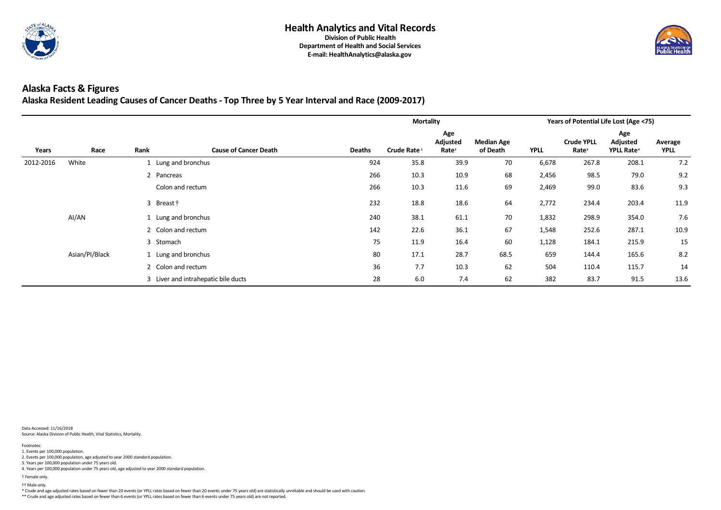

|           |                |                     |                                     |               | <b>Mortality</b>        |                                             |                               |             | <b>Years of Potential Life Lost (Age &lt;75)</b> |                                                 |                        |  |
|-----------|----------------|---------------------|-------------------------------------|---------------|-------------------------|---------------------------------------------|-------------------------------|-------------|--------------------------------------------------|-------------------------------------------------|------------------------|--|
| Years     | Race           | Rank                | <b>Cause of Cancer Death</b>        | <b>Deaths</b> | Crude Rate <sup>1</sup> | Age<br><b>Adjusted</b><br>Rate <sup>2</sup> | <b>Median Age</b><br>of Death | <b>YPLL</b> | <b>Crude YPLL</b><br>Rate <sup>3</sup>           | Age<br>Adjusted<br><b>YPLL Rate<sup>4</sup></b> | Average<br><b>YPLL</b> |  |
| 2012-2016 | White          | 1 Lung and bronchus |                                     | 924           | 35.8                    | 39.9                                        | 70                            | 6,678       | 267.8                                            | 208.1                                           | 7.2                    |  |
|           |                | 2 Pancreas          |                                     | 266           | 10.3                    | 10.9                                        | 68                            | 2,456       | 98.5                                             | 79.0                                            | 9.2                    |  |
|           |                | Colon and rectum    |                                     | 266           | 10.3                    | 11.6                                        | 69                            | 2,469       | 99.0                                             | 83.6                                            | 9.3                    |  |
|           |                | 3 Breast†           |                                     | 232           | 18.8                    | 18.6                                        | 64                            | 2,772       | 234.4                                            | 203.4                                           | 11.9                   |  |
|           | AI/AN          | 1 Lung and bronchus |                                     | 240           | 38.1                    | 61.1                                        | 70                            | 1,832       | 298.9                                            | 354.0                                           | 7.6                    |  |
|           |                | Colon and rectum    |                                     | 142           | 22.6                    | 36.1                                        | 67                            | 1,548       | 252.6                                            | 287.1                                           | 10.9                   |  |
|           |                | 3 Stomach           |                                     | 75            | 11.9                    | 16.4                                        | 60                            | 1,128       | 184.1                                            | 215.9                                           | 15                     |  |
|           | Asian/PI/Black | 1 Lung and bronchus |                                     | 80            | 17.1                    | 28.7                                        | 68.5                          | 659         | 144.4                                            | 165.6                                           | 8.2                    |  |
|           |                | 2 Colon and rectum  |                                     | 36            | 7.7                     | 10.3                                        | 62                            | 504         | 110.4                                            | 115.7                                           | 14                     |  |
|           |                |                     | 3 Liver and intrahepatic bile ducts | 28            | 6.0                     | 7.4                                         | 62                            | 382         | 83.7                                             | 91.5                                            | 13.6                   |  |

Data Accessed: 11/16/2018 Source: Alaska Division of Public Health, Vital Statistics, Mortality.

\* Crude and age adjusted rates based on fewer than 20 events (or YPLL rates based on fewer than 20 events under 75 years old) are statistically unreliable and should be used with caution.

\*\* Crude and age adjusted rates based on fewer than 6 events (or YPLL rates based on fewer than 6 events under 75 years old) are not reported.



† Male only. †

4. Years per 100,000 population under 75 years old, age adjusted to year 2000 standard population.

† Female only.

2. Events per 100,000 population, age adjusted to year 2000 standard population.

3. Years per 100,000 population under 75 years old.

Footnotes: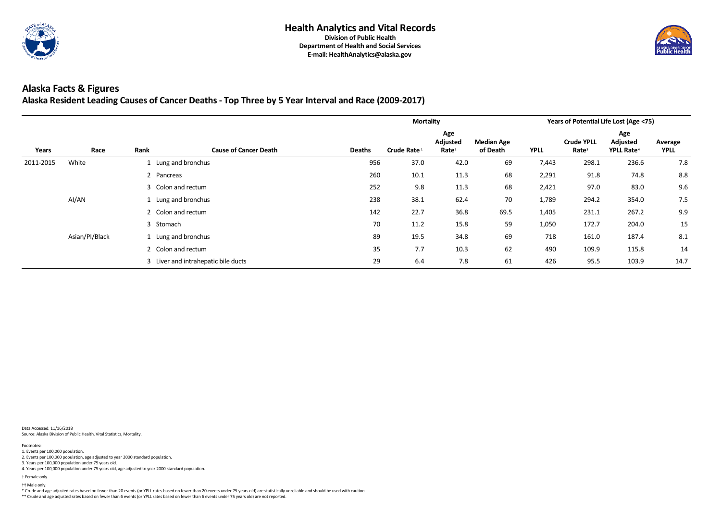

|           |                |                    |                                   |               | <b>Mortality</b>        |                                             |                               |             | <b>Years of Potential Life Lost (Age &lt;75)</b> |                                                  |                        |  |  |
|-----------|----------------|--------------------|-----------------------------------|---------------|-------------------------|---------------------------------------------|-------------------------------|-------------|--------------------------------------------------|--------------------------------------------------|------------------------|--|--|
| Years     | Race           | Rank               | <b>Cause of Cancer Death</b>      | <b>Deaths</b> | Crude Rate <sup>1</sup> | Age<br><b>Adjusted</b><br>Rate <sup>2</sup> | <b>Median Age</b><br>of Death | <b>YPLL</b> | <b>Crude YPLL</b><br>Rate <sup>3</sup>           | Age<br><b>Adjusted</b><br>YPLL Rate <sup>4</sup> | Average<br><b>YPLL</b> |  |  |
| 2011-2015 | White          |                    | Lung and bronchus                 | 956           | 37.0                    | 42.0                                        | 69                            | 7,443       | 298.1                                            | 236.6                                            | 7.8                    |  |  |
|           |                | 2 Pancreas         |                                   | 260           | 10.1                    | 11.3                                        | 68                            | 2,291       | 91.8                                             | 74.8                                             | 8.8                    |  |  |
|           |                | 3 Colon and rectum |                                   | 252           | 9.8                     | 11.3                                        | 68                            | 2,421       | 97.0                                             | 83.0                                             | 9.6                    |  |  |
|           | AI/AN          |                    | Lung and bronchus                 | 238           | 38.1                    | 62.4                                        | 70                            | 1,789       | 294.2                                            | 354.0                                            | 7.5                    |  |  |
|           |                | 2 Colon and rectum |                                   | 142           | 22.7                    | 36.8                                        | 69.5                          | 1,405       | 231.1                                            | 267.2                                            | 9.9                    |  |  |
|           |                | 3 Stomach          |                                   | 70            | 11.2                    | 15.8                                        | 59                            | 1,050       | 172.7                                            | 204.0                                            | 15                     |  |  |
|           | Asian/PI/Black |                    | Lung and bronchus                 | 89            | 19.5                    | 34.8                                        | 69                            | 718         | 161.0                                            | 187.4                                            | 8.1                    |  |  |
|           |                | 2 Colon and rectum |                                   | 35            | 7.7                     | 10.3                                        | 62                            | 490         | 109.9                                            | 115.8                                            | 14                     |  |  |
|           |                | 3                  | Liver and intrahepatic bile ducts | 29            | 6.4                     | 7.8                                         | 61                            | 426         | 95.5                                             | 103.9                                            | 14.7                   |  |  |

Data Accessed: 11/16/2018 Source: Alaska Division of Public Health, Vital Statistics, Mortality.

\* Crude and age adjusted rates based on fewer than 20 events (or YPLL rates based on fewer than 20 events under 75 years old) are statistically unreliable and should be used with caution.

\*\* Crude and age adjusted rates based on fewer than 6 events (or YPLL rates based on fewer than 6 events under 75 years old) are not reported.



† Male only. †

4. Years per 100,000 population under 75 years old, age adjusted to year 2000 standard population.

† Female only.

2. Events per 100,000 population, age adjusted to year 2000 standard population.

3. Years per 100,000 population under 75 years old.

Footnotes: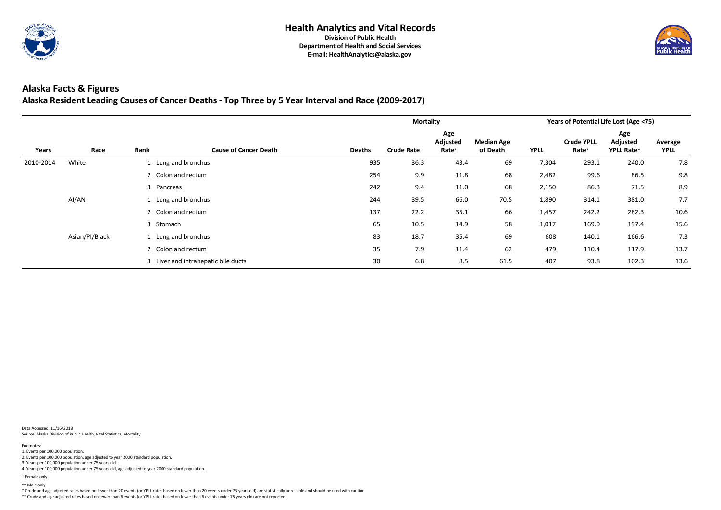

|           |                |                     |                                   |               | <b>Mortality</b>                                                                                        |      |             |                                        | <b>Years of Potential Life Lost (Age &lt;75)</b> |                        |      |  |  |
|-----------|----------------|---------------------|-----------------------------------|---------------|---------------------------------------------------------------------------------------------------------|------|-------------|----------------------------------------|--------------------------------------------------|------------------------|------|--|--|
| Years     | Race           | Rank                | <b>Cause of Cancer Death</b>      | <b>Deaths</b> | Age<br><b>Adjusted</b><br><b>Median Age</b><br>Crude Rate <sup>1</sup><br>Rate <sup>2</sup><br>of Death |      | <b>YPLL</b> | <b>Crude YPLL</b><br>Rate <sup>3</sup> | Age<br>Adjusted<br>YPLL Rate <sup>4</sup>        | Average<br><b>YPLL</b> |      |  |  |
| 2010-2014 | White          |                     | Lung and bronchus                 | 935           | 36.3                                                                                                    | 43.4 | 69          | 7,304                                  | 293.1                                            | 240.0                  | 7.8  |  |  |
|           |                | 2 Colon and rectum  |                                   | 254           | 9.9                                                                                                     | 11.8 | 68          | 2,482                                  | 99.6                                             | 86.5                   | 9.8  |  |  |
|           |                | 3<br>Pancreas       |                                   | 242           | 9.4                                                                                                     | 11.0 | 68          | 2,150                                  | 86.3                                             | 71.5                   | 8.9  |  |  |
|           | AI/AN          | 1 Lung and bronchus |                                   | 244           | 39.5                                                                                                    | 66.0 | 70.5        | 1,890                                  | 314.1                                            | 381.0                  | 7.7  |  |  |
|           |                | 2 Colon and rectum  |                                   | 137           | 22.2                                                                                                    | 35.1 | 66          | 1,457                                  | 242.2                                            | 282.3                  | 10.6 |  |  |
|           |                | 3<br>Stomach        |                                   | 65            | 10.5                                                                                                    | 14.9 | 58          | 1,017                                  | 169.0                                            | 197.4                  | 15.6 |  |  |
|           | Asian/PI/Black | 1 Lung and bronchus |                                   | 83            | 18.7                                                                                                    | 35.4 | 69          | 608                                    | 140.1                                            | 166.6                  | 7.3  |  |  |
|           |                | 2 Colon and rectum  |                                   | 35            | 7.9                                                                                                     | 11.4 | 62          | 479                                    | 110.4                                            | 117.9                  | 13.7 |  |  |
|           |                | $\mathbf{3}$        | Liver and intrahepatic bile ducts | 30            | 6.8                                                                                                     | 8.5  | 61.5        | 407                                    | 93.8                                             | 102.3                  | 13.6 |  |  |

Data Accessed: 11/16/2018 Source: Alaska Division of Public Health, Vital Statistics, Mortality.

\* Crude and age adjusted rates based on fewer than 20 events (or YPLL rates based on fewer than 20 events under 75 years old) are statistically unreliable and should be used with caution.

\*\* Crude and age adjusted rates based on fewer than 6 events (or YPLL rates based on fewer than 6 events under 75 years old) are not reported.



† Male only. †

4. Years per 100,000 population under 75 years old, age adjusted to year 2000 standard population.

† Female only.

2. Events per 100,000 population, age adjusted to year 2000 standard population.

3. Years per 100,000 population under 75 years old.

Footnotes: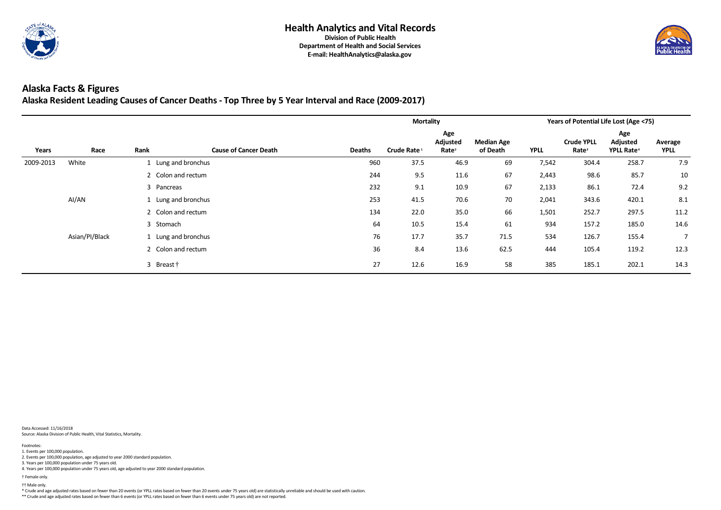

|           |                |                     |                                               |     | <b>Mortality</b>        |                                             |                               |             | <b>Years of Potential Life Lost (Age &lt;75)</b> |                                                        |                        |  |
|-----------|----------------|---------------------|-----------------------------------------------|-----|-------------------------|---------------------------------------------|-------------------------------|-------------|--------------------------------------------------|--------------------------------------------------------|------------------------|--|
| Years     | Race           | Rank                | <b>Cause of Cancer Death</b><br><b>Deaths</b> |     | Crude Rate <sup>1</sup> | Age<br><b>Adjusted</b><br>Rate <sup>2</sup> | <b>Median Age</b><br>of Death | <b>YPLL</b> | <b>Crude YPLL</b><br>Rate <sup>3</sup>           | Age<br><b>Adjusted</b><br><b>YPLL Rate<sup>4</sup></b> | Average<br><b>YPLL</b> |  |
| 2009-2013 | White          |                     | Lung and bronchus                             | 960 | 37.5                    | 46.9                                        | 69                            | 7,542       | 304.4                                            | 258.7                                                  | 7.9                    |  |
|           |                | 2 Colon and rectum  |                                               | 244 | 9.5                     | 11.6                                        | 67                            | 2,443       | 98.6                                             | 85.7                                                   | 10                     |  |
|           |                | 3<br>Pancreas       |                                               | 232 | 9.1                     | 10.9                                        | 67                            | 2,133       | 86.1                                             | 72.4                                                   | 9.2                    |  |
|           | AI/AN          |                     | Lung and bronchus                             | 253 | 41.5                    | 70.6                                        | 70                            | 2,041       | 343.6                                            | 420.1                                                  | 8.1                    |  |
|           |                | 2 Colon and rectum  |                                               | 134 | 22.0                    | 35.0                                        | 66                            | 1,501       | 252.7                                            | 297.5                                                  | 11.2                   |  |
|           |                | 3 Stomach           |                                               | 64  | 10.5                    | 15.4                                        | 61                            | 934         | 157.2                                            | 185.0                                                  | 14.6                   |  |
|           | Asian/PI/Black | 1 Lung and bronchus |                                               | 76  | 17.7                    | 35.7                                        | 71.5                          | 534         | 126.7                                            | 155.4                                                  |                        |  |
|           |                | 2 Colon and rectum  |                                               | 36  | 8.4                     | 13.6                                        | 62.5                          | 444         | 105.4                                            | 119.2                                                  | 12.3                   |  |
|           |                | 3 Breast†           |                                               | 27  | 12.6                    | 16.9                                        | 58                            | 385         | 185.1                                            | 202.1                                                  | 14.3                   |  |

Data Accessed: 11/16/2018 Source: Alaska Division of Public Health, Vital Statistics, Mortality.

\* Crude and age adjusted rates based on fewer than 20 events (or YPLL rates based on fewer than 20 events under 75 years old) are statistically unreliable and should be used with caution.

\*\* Crude and age adjusted rates based on fewer than 6 events (or YPLL rates based on fewer than 6 events under 75 years old) are not reported.



† Male only. †

4. Years per 100,000 population under 75 years old, age adjusted to year 2000 standard population.

† Female only.

2. Events per 100,000 population, age adjusted to year 2000 standard population.

3. Years per 100,000 population under 75 years old.

Footnotes: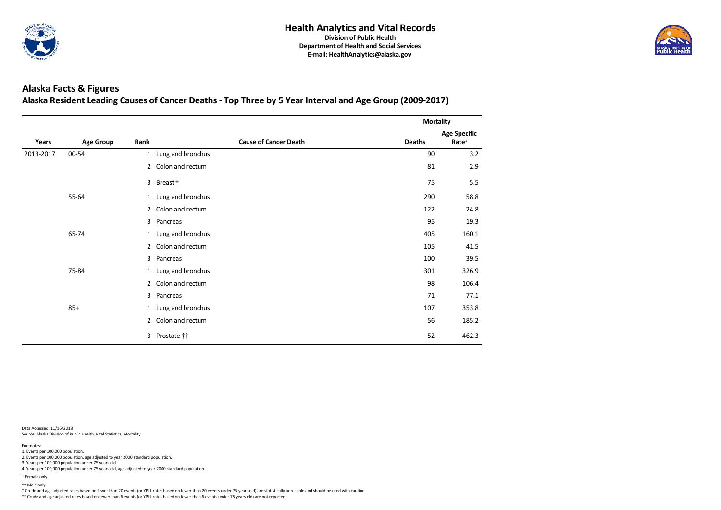

#### **Alaska Facts & Figures Alaska Resident Leading Causes of Cancer Deaths - Top Three by 5 Year Interval and Age Group (2009-2017)**

|           |                  |              |                              | <b>Mortality</b> |                                          |
|-----------|------------------|--------------|------------------------------|------------------|------------------------------------------|
| Years     | <b>Age Group</b> | Rank         | <b>Cause of Cancer Death</b> | <b>Deaths</b>    | <b>Age Specific</b><br>Rate <sup>1</sup> |
| 2013-2017 | 00-54            |              | 1 Lung and bronchus          | 90               | 3.2                                      |
|           |                  |              | 2 Colon and rectum           | 81               | 2.9                                      |
|           |                  |              | 3 Breast †                   | 75               | 5.5                                      |
|           | 55-64            | $\mathbf{1}$ | Lung and bronchus            | 290              | 58.8                                     |
|           |                  |              | 2 Colon and rectum           | 122              | 24.8                                     |
|           |                  | $\mathbf{3}$ | Pancreas                     | 95               | 19.3                                     |
|           | 65-74            | $\mathbf{1}$ | Lung and bronchus            | 405              | 160.1                                    |
|           |                  |              | 2 Colon and rectum           | 105              | 41.5                                     |
|           |                  | 3            | Pancreas                     | 100              | 39.5                                     |
|           | 75-84            |              | 1 Lung and bronchus          | 301              | 326.9                                    |
|           |                  |              | 2 Colon and rectum           | 98               | 106.4                                    |
|           |                  | 3            | Pancreas                     | 71               | 77.1                                     |
|           | $85+$            |              | 1 Lung and bronchus          | 107              | 353.8                                    |
|           |                  |              | 2 Colon and rectum           | 56               | 185.2                                    |
|           |                  |              | 3 Prostate ††                | 52               | 462.3                                    |

Data Accessed: 11/16/2018 Source: Alaska Division of Public Health, Vital Statistics, Mortality.

\* Crude and age adjusted rates based on fewer than 20 events (or YPLL rates based on fewer than 20 events under 75 years old) are statistically unreliable and should be used with caution.

\*\* Crude and age adjusted rates based on fewer than 6 events (or YPLL rates based on fewer than 6 events under 75 years old) are not reported.



† Male only. †

4. Years per 100,000 population under 75 years old, age adjusted to year 2000 standard population.

† Female only.

2. Events per 100,000 population, age adjusted to year 2000 standard population.

3. Years per 100,000 population under 75 years old.

Footnotes: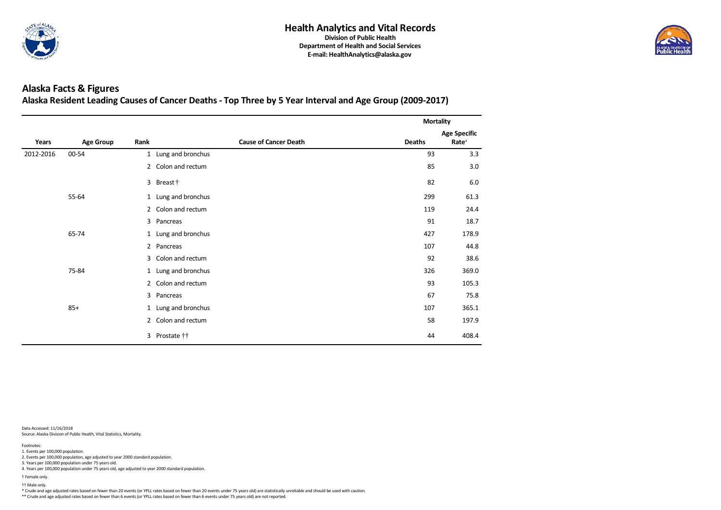

#### **Alaska Facts & Figures Alaska Resident Leading Causes of Cancer Deaths - Top Three by 5 Year Interval and Age Group (2009-2017)**

|           |                  |              |                              | <b>Mortality</b> |                                          |
|-----------|------------------|--------------|------------------------------|------------------|------------------------------------------|
| Years     | <b>Age Group</b> | Rank         | <b>Cause of Cancer Death</b> | <b>Deaths</b>    | <b>Age Specific</b><br>Rate <sup>1</sup> |
| 2012-2016 | 00-54            |              | 1 Lung and bronchus          | 93               | 3.3                                      |
|           |                  |              | 2 Colon and rectum           | 85               | 3.0                                      |
|           |                  |              | 3 Breast †                   | 82               | 6.0                                      |
|           | 55-64            | $\mathbf{1}$ | Lung and bronchus            | 299              | 61.3                                     |
|           |                  |              | 2 Colon and rectum           | 119              | 24.4                                     |
|           |                  | $\mathbf{3}$ | Pancreas                     | 91               | 18.7                                     |
|           | 65-74            | $\mathbf{1}$ | Lung and bronchus            | 427              | 178.9                                    |
|           |                  |              | 2 Pancreas                   | 107              | 44.8                                     |
|           |                  | $\mathbf{3}$ | Colon and rectum             | 92               | 38.6                                     |
|           | 75-84            |              | 1 Lung and bronchus          | 326              | 369.0                                    |
|           |                  |              | 2 Colon and rectum           | 93               | 105.3                                    |
|           |                  | 3            | Pancreas                     | 67               | 75.8                                     |
|           | $85+$            |              | 1 Lung and bronchus          | 107              | 365.1                                    |
|           |                  |              | 2 Colon and rectum           | 58               | 197.9                                    |
|           |                  |              | 3 Prostate ††                | 44               | 408.4                                    |

Data Accessed: 11/16/2018 Source: Alaska Division of Public Health, Vital Statistics, Mortality.

\* Crude and age adjusted rates based on fewer than 20 events (or YPLL rates based on fewer than 20 events under 75 years old) are statistically unreliable and should be used with caution.

\*\* Crude and age adjusted rates based on fewer than 6 events (or YPLL rates based on fewer than 6 events under 75 years old) are not reported.



† Male only. †

4. Years per 100,000 population under 75 years old, age adjusted to year 2000 standard population.

† Female only.

2. Events per 100,000 population, age adjusted to year 2000 standard population.

3. Years per 100,000 population under 75 years old.

Footnotes: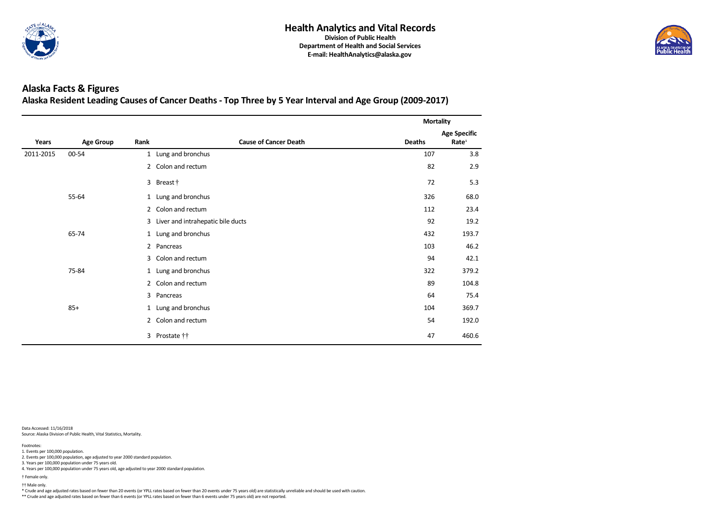

#### **Alaska Facts & Figures Alaska Resident Leading Causes of Cancer Deaths - Top Three by 5 Year Interval and Age Group (2009-2017)**

|           |                  |             |                                   | <b>Mortality</b> |                                          |
|-----------|------------------|-------------|-----------------------------------|------------------|------------------------------------------|
| Years     | <b>Age Group</b> | Rank        | <b>Cause of Cancer Death</b>      | <b>Deaths</b>    | <b>Age Specific</b><br>Rate <sup>1</sup> |
| 2011-2015 | 00-54            |             | 1 Lung and bronchus               | 107              | 3.8                                      |
|           |                  |             | 2 Colon and rectum                | 82               | 2.9                                      |
|           |                  |             | 3 Breast†                         | 72               | 5.3                                      |
|           | 55-64            | 1           | Lung and bronchus                 | 326              | 68.0                                     |
|           |                  |             | 2 Colon and rectum                | 112              | 23.4                                     |
|           |                  | 3           | Liver and intrahepatic bile ducts | 92               | 19.2                                     |
|           | 65-74            | 1           | Lung and bronchus                 | 432              | 193.7                                    |
|           |                  | $2^{\circ}$ | Pancreas                          | 103              | 46.2                                     |
|           |                  | 3           | Colon and rectum                  | 94               | 42.1                                     |
|           | 75-84            |             | 1 Lung and bronchus               | 322              | 379.2                                    |
|           |                  |             | 2 Colon and rectum                | 89               | 104.8                                    |
|           |                  | 3           | Pancreas                          | 64               | 75.4                                     |
|           | $85+$            |             | 1 Lung and bronchus               | 104              | 369.7                                    |
|           |                  |             | 2 Colon and rectum                | 54               | 192.0                                    |
|           |                  |             | 3 Prostate ††                     | 47               | 460.6                                    |

Data Accessed: 11/16/2018 Source: Alaska Division of Public Health, Vital Statistics, Mortality.

\* Crude and age adjusted rates based on fewer than 20 events (or YPLL rates based on fewer than 20 events under 75 years old) are statistically unreliable and should be used with caution.

\*\* Crude and age adjusted rates based on fewer than 6 events (or YPLL rates based on fewer than 6 events under 75 years old) are not reported.



† Male only. †

4. Years per 100,000 population under 75 years old, age adjusted to year 2000 standard population.

† Female only.

2. Events per 100,000 population, age adjusted to year 2000 standard population.

3. Years per 100,000 population under 75 years old.

Footnotes: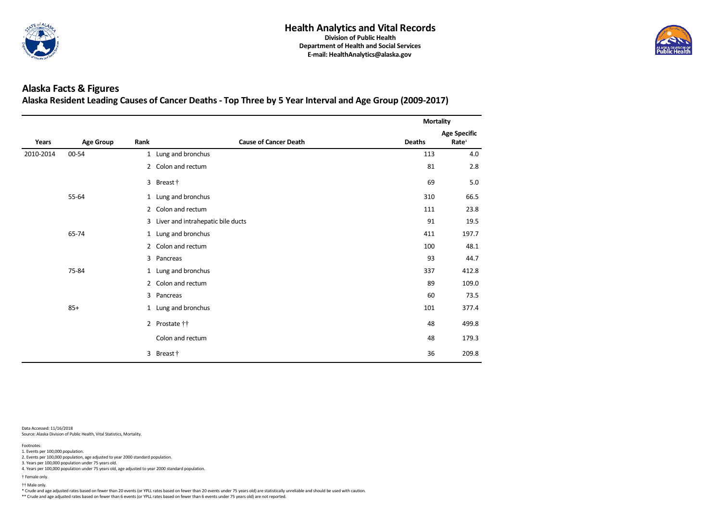

#### **Alaska Facts & Figures Alaska Resident Leading Causes of Cancer Deaths - Top Three by 5 Year Interval and Age Group (2009-2017)**

|           |                  |              |                                   | <b>Mortality</b> |                                          |
|-----------|------------------|--------------|-----------------------------------|------------------|------------------------------------------|
| Years     | <b>Age Group</b> | Rank         | <b>Cause of Cancer Death</b>      | <b>Deaths</b>    | <b>Age Specific</b><br>Rate <sup>1</sup> |
| 2010-2014 | 00-54            |              | 1 Lung and bronchus               | 113              | 4.0                                      |
|           |                  |              | 2 Colon and rectum                | 81               | 2.8                                      |
|           |                  |              | 3 Breast †                        | 69               | $5.0\,$                                  |
|           | 55-64            |              | 1 Lung and bronchus               | 310              | 66.5                                     |
|           |                  |              | 2 Colon and rectum                | 111              | 23.8                                     |
|           |                  | $\mathbf{3}$ | Liver and intrahepatic bile ducts | 91               | 19.5                                     |
|           | 65-74            |              | 1 Lung and bronchus               | 411              | 197.7                                    |
|           |                  |              | 2 Colon and rectum                | 100              | 48.1                                     |
|           |                  | $\mathbf{3}$ | Pancreas                          | 93               | 44.7                                     |
|           | 75-84            |              | 1 Lung and bronchus               | 337              | 412.8                                    |
|           |                  |              | 2 Colon and rectum                | 89               | 109.0                                    |
|           |                  | $\mathbf{3}$ | Pancreas                          | 60               | 73.5                                     |
|           | $85+$            |              | 1 Lung and bronchus               | 101              | 377.4                                    |
|           |                  |              | 2 Prostate ††                     | 48               | 499.8                                    |
|           |                  |              | Colon and rectum                  | 48               | 179.3                                    |
|           |                  |              | 3 Breast †                        | 36               | 209.8                                    |

Data Accessed: 11/16/2018 Source: Alaska Division of Public Health, Vital Statistics, Mortality.

\* Crude and age adjusted rates based on fewer than 20 events (or YPLL rates based on fewer than 20 events under 75 years old) are statistically unreliable and should be used with caution.

\*\* Crude and age adjusted rates based on fewer than 6 events (or YPLL rates based on fewer than 6 events under 75 years old) are not reported.



† Male only. †

4. Years per 100,000 population under 75 years old, age adjusted to year 2000 standard population.

† Female only.

2. Events per 100,000 population, age adjusted to year 2000 standard population.

3. Years per 100,000 population under 75 years old.

Footnotes: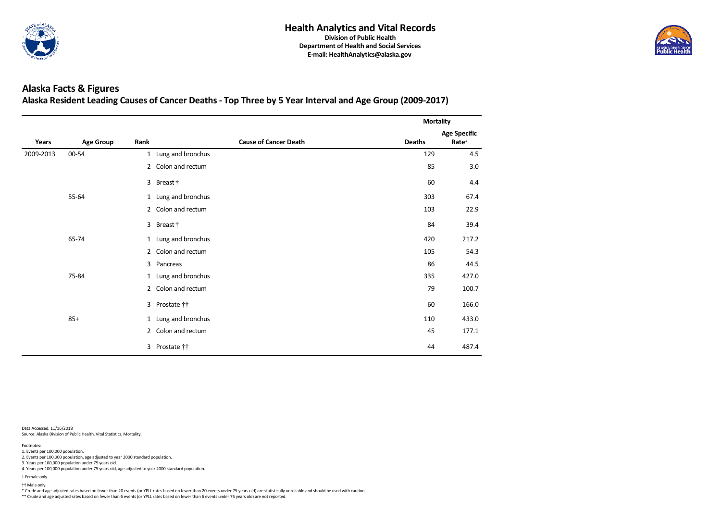

#### **Alaska Facts & Figures Alaska Resident Leading Causes of Cancer Deaths - Top Three by 5 Year Interval and Age Group (2009-2017)**

|           |                  |      |                              | <b>Mortality</b> |                                          |
|-----------|------------------|------|------------------------------|------------------|------------------------------------------|
| Years     | <b>Age Group</b> | Rank | <b>Cause of Cancer Death</b> | <b>Deaths</b>    | <b>Age Specific</b><br>Rate <sup>1</sup> |
| 2009-2013 | 00-54            |      | 1 Lung and bronchus          | 129              | 4.5                                      |
|           |                  |      | 2 Colon and rectum           | 85               | 3.0                                      |
|           |                  |      | 3 Breast †                   | 60               | 4.4                                      |
|           | 55-64            |      | 1 Lung and bronchus          | 303              | 67.4                                     |
|           |                  |      | 2 Colon and rectum           | 103              | 22.9                                     |
|           |                  |      | 3 Breast †                   | 84               | 39.4                                     |
|           | 65-74            |      | 1 Lung and bronchus          | 420              | 217.2                                    |
|           |                  |      | 2 Colon and rectum           | 105              | 54.3                                     |
|           |                  |      | 3 Pancreas                   | 86               | 44.5                                     |
|           | 75-84            |      | 1 Lung and bronchus          | 335              | 427.0                                    |
|           |                  |      | 2 Colon and rectum           | 79               | 100.7                                    |
|           |                  |      | 3 Prostate ††                | 60               | 166.0                                    |
|           | $85+$            |      | 1 Lung and bronchus          | 110              | 433.0                                    |
|           |                  |      | 2 Colon and rectum           | 45               | 177.1                                    |
|           |                  |      | 3 Prostate ††                | 44               | 487.4                                    |

Data Accessed: 11/16/2018 Source: Alaska Division of Public Health, Vital Statistics, Mortality.

\* Crude and age adjusted rates based on fewer than 20 events (or YPLL rates based on fewer than 20 events under 75 years old) are statistically unreliable and should be used with caution.

\*\* Crude and age adjusted rates based on fewer than 6 events (or YPLL rates based on fewer than 6 events under 75 years old) are not reported.



† Male only. †

4. Years per 100,000 population under 75 years old, age adjusted to year 2000 standard population.

† Female only.

2. Events per 100,000 population, age adjusted to year 2000 standard population.

3. Years per 100,000 population under 75 years old.

Footnotes: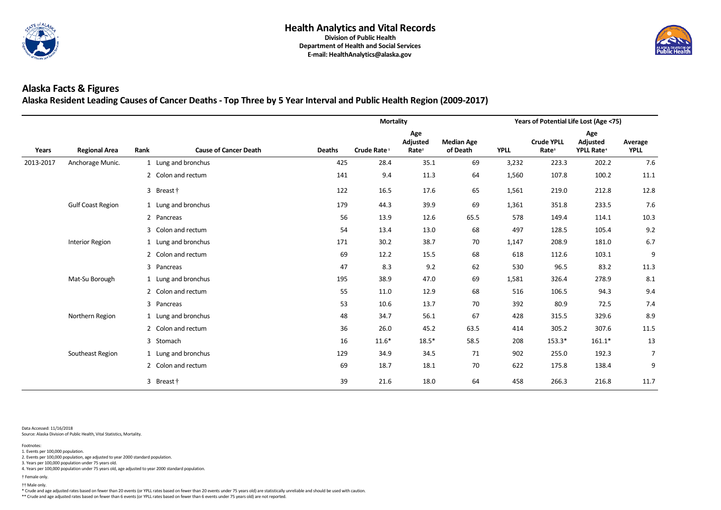

|           |                          |      |                              |               | <b>Mortality</b>        |                                             |                               | Years of Potential Life Lost (Age <75) |                                        |                                                 |                        |  |
|-----------|--------------------------|------|------------------------------|---------------|-------------------------|---------------------------------------------|-------------------------------|----------------------------------------|----------------------------------------|-------------------------------------------------|------------------------|--|
| Years     | <b>Regional Area</b>     | Rank | <b>Cause of Cancer Death</b> | <b>Deaths</b> | Crude Rate <sup>1</sup> | Age<br><b>Adjusted</b><br>Rate <sup>2</sup> | <b>Median Age</b><br>of Death | <b>YPLL</b>                            | <b>Crude YPLL</b><br>Rate <sup>3</sup> | Age<br>Adjusted<br><b>YPLL Rate<sup>4</sup></b> | Average<br><b>YPLL</b> |  |
| 2013-2017 | Anchorage Munic.         |      | 1 Lung and bronchus          | 425           | 28.4                    | 35.1                                        | 69                            | 3,232                                  | 223.3                                  | 202.2                                           | 7.6                    |  |
|           |                          |      | 2 Colon and rectum           | 141           | 9.4                     | 11.3                                        | 64                            | 1,560                                  | 107.8                                  | 100.2                                           | 11.1                   |  |
|           |                          |      | 3 Breast†                    | 122           | 16.5                    | 17.6                                        | 65                            | 1,561                                  | 219.0                                  | 212.8                                           | 12.8                   |  |
|           | <b>Gulf Coast Region</b> |      | 1 Lung and bronchus          | 179           | 44.3                    | 39.9                                        | 69                            | 1,361                                  | 351.8                                  | 233.5                                           | 7.6                    |  |
|           |                          |      | 2 Pancreas                   | 56            | 13.9                    | 12.6                                        | 65.5                          | 578                                    | 149.4                                  | 114.1                                           | $10.3$                 |  |
|           |                          |      | 3 Colon and rectum           | 54            | 13.4                    | 13.0                                        | 68                            | 497                                    | 128.5                                  | 105.4                                           | 9.2                    |  |
|           | <b>Interior Region</b>   |      | 1 Lung and bronchus          | 171           | 30.2                    | 38.7                                        | 70                            | 1,147                                  | 208.9                                  | 181.0                                           | 6.7                    |  |
|           |                          |      | 2 Colon and rectum           | 69            | 12.2                    | 15.5                                        | 68                            | 618                                    | 112.6                                  | 103.1                                           | 9                      |  |
|           |                          |      | 3 Pancreas                   | 47            | 8.3                     | 9.2                                         | 62                            | 530                                    | 96.5                                   | 83.2                                            | 11.3                   |  |
|           | Mat-Su Borough           |      | 1 Lung and bronchus          | 195           | 38.9                    | 47.0                                        | 69                            | 1,581                                  | 326.4                                  | 278.9                                           | 8.1                    |  |
|           |                          |      | 2 Colon and rectum           | 55            | 11.0                    | 12.9                                        | 68                            | 516                                    | 106.5                                  | 94.3                                            | 9.4                    |  |
|           |                          |      | 3 Pancreas                   | 53            | 10.6                    | 13.7                                        | 70                            | 392                                    | 80.9                                   | 72.5                                            | 7.4                    |  |
|           | Northern Region          |      | 1 Lung and bronchus          | 48            | 34.7                    | 56.1                                        | 67                            | 428                                    | 315.5                                  | 329.6                                           | 8.9                    |  |
|           |                          |      | 2 Colon and rectum           | 36            | 26.0                    | 45.2                                        | 63.5                          | 414                                    | 305.2                                  | 307.6                                           | 11.5                   |  |
|           |                          |      | 3 Stomach                    | 16            | $11.6*$                 | $18.5*$                                     | 58.5                          | 208                                    | 153.3*                                 | $161.1*$                                        | 13                     |  |
|           | Southeast Region         |      | 1 Lung and bronchus          | 129           | 34.9                    | 34.5                                        | 71                            | 902                                    | 255.0                                  | 192.3                                           | $\overline{7}$         |  |
|           |                          |      | 2 Colon and rectum           | 69            | 18.7                    | 18.1                                        | 70                            | 622                                    | 175.8                                  | 138.4                                           | 9                      |  |
|           |                          |      | 3 Breast †                   | 39            | 21.6                    | 18.0                                        | 64                            | 458                                    | 266.3                                  | 216.8                                           | 11.7                   |  |

Data Accessed: 11/16/2018

Source: Alaska Division of Public Health, Vital Statistics, Mortality.

\* Crude and age adjusted rates based on fewer than 20 events (or YPLL rates based on fewer than 20 events under 75 years old) are statistically unreliable and should be used with caution.

\*\* Crude and age adjusted rates based on fewer than 6 events (or YPLL rates based on fewer than 6 events under 75 years old) are not reported.



† Male only. †

4. Years per 100,000 population under 75 years old, age adjusted to year 2000 standard population.

† Female only.

2. Events per 100,000 population, age adjusted to year 2000 standard population.

3. Years per 100,000 population under 75 years old.

Footnotes: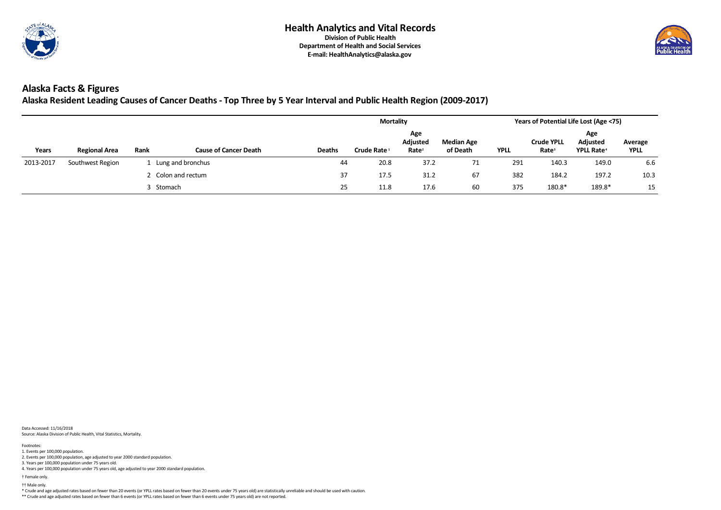

## **Alaska Facts & Figures**

**Alaska Resident Leading Causes of Cancer Deaths - Top Three by 5 Year Interval and Public Health Region (2009-2017)**

|           |                      |      |                              |               | <b>Mortality</b>        |                                      | Years of Potential Life Lost (Age <75) |             |                                        |                                                 |                        |  |
|-----------|----------------------|------|------------------------------|---------------|-------------------------|--------------------------------------|----------------------------------------|-------------|----------------------------------------|-------------------------------------------------|------------------------|--|
| Years     | <b>Regional Area</b> | Rank | <b>Cause of Cancer Death</b> | <b>Deaths</b> | Crude Rate <sup>1</sup> | Age<br>Adjusted<br>Rate <sup>2</sup> | <b>Median Age</b><br>of Death          | <b>YPLL</b> | <b>Crude YPLL</b><br>Rate <sup>3</sup> | Age<br>Adjusted<br><b>YPLL Rate<sup>4</sup></b> | Average<br><b>YPLL</b> |  |
| 2013-2017 | Southwest Region     |      | 1 Lung and bronchus          | 44            | 20.8                    | 37.2                                 | 71                                     | 291         | 140.3                                  | 149.0                                           | 6.6                    |  |
|           |                      |      | 2 Colon and rectum           | 37            | 17.5                    | 31.2                                 | 67                                     | 382         | 184.2                                  | 197.2                                           | 10.3                   |  |
|           |                      |      | 3 Stomach                    | 25            | 11.8                    | 17.6                                 | 60                                     | 375         | 180.8*                                 | 189.8*                                          | 15                     |  |

Data Accessed: 11/16/2018 Source: Alaska Division of Public Health, Vital Statistics, Mortality.

\* Crude and age adjusted rates based on fewer than 20 events (or YPLL rates based on fewer than 20 events under 75 years old) are statistically unreliable and should be used with caution.

\*\* Crude and age adjusted rates based on fewer than 6 events (or YPLL rates based on fewer than 6 events under 75 years old) are not reported.



† Male only. †

4. Years per 100,000 population under 75 years old, age adjusted to year 2000 standard population.

† Female only.

2. Events per 100,000 population, age adjusted to year 2000 standard population.

3. Years per 100,000 population under 75 years old.

Footnotes: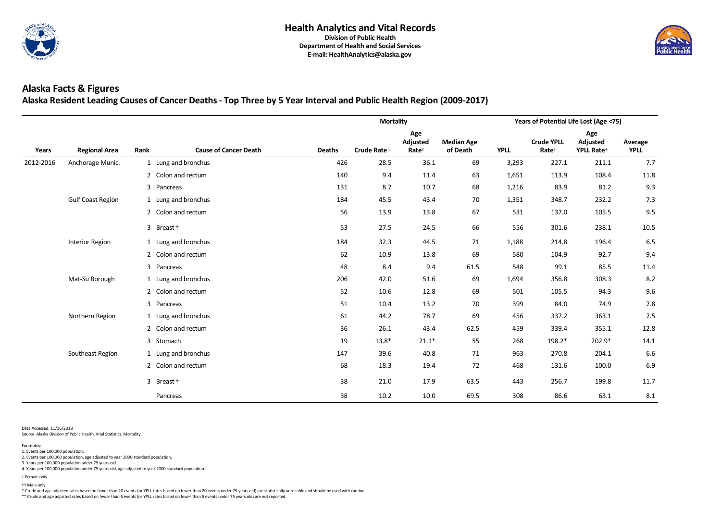

|           |                          |      |                              |               | <b>Mortality</b>        |                                             | Years of Potential Life Lost (Age <75) |             |                                        |                                                 |                        |
|-----------|--------------------------|------|------------------------------|---------------|-------------------------|---------------------------------------------|----------------------------------------|-------------|----------------------------------------|-------------------------------------------------|------------------------|
| Years     | <b>Regional Area</b>     | Rank | <b>Cause of Cancer Death</b> | <b>Deaths</b> | Crude Rate <sup>1</sup> | Age<br><b>Adjusted</b><br>Rate <sup>2</sup> | <b>Median Age</b><br>of Death          | <b>YPLL</b> | <b>Crude YPLL</b><br>Rate <sup>3</sup> | Age<br>Adjusted<br><b>YPLL Rate<sup>4</sup></b> | Average<br><b>YPLL</b> |
| 2012-2016 | Anchorage Munic.         |      | 1 Lung and bronchus          | 426           | 28.5                    | 36.1                                        | 69                                     | 3,293       | 227.1                                  | 211.1                                           | 7.7                    |
|           |                          |      | 2 Colon and rectum           | 140           | 9.4                     | 11.4                                        | 63                                     | 1,651       | 113.9                                  | 108.4                                           | $11.8\,$               |
|           |                          |      | 3 Pancreas                   | 131           | 8.7                     | 10.7                                        | 68                                     | 1,216       | 83.9                                   | 81.2                                            | 9.3                    |
|           | <b>Gulf Coast Region</b> |      | 1 Lung and bronchus          | 184           | 45.5                    | 43.4                                        | 70                                     | 1,351       | 348.7                                  | 232.2                                           | 7.3                    |
|           |                          |      | 2 Colon and rectum           | 56            | 13.9                    | 13.8                                        | 67                                     | 531         | 137.0                                  | 105.5                                           | 9.5                    |
|           |                          |      | 3 Breast†                    | 53            | 27.5                    | 24.5                                        | 66                                     | 556         | 301.6                                  | 238.1                                           | $10.5\,$               |
|           | <b>Interior Region</b>   |      | 1 Lung and bronchus          | 184           | 32.3                    | 44.5                                        | 71                                     | 1,188       | 214.8                                  | 196.4                                           | 6.5                    |
|           |                          |      | 2 Colon and rectum           | 62            | 10.9                    | 13.8                                        | 69                                     | 580         | 104.9                                  | 92.7                                            | 9.4                    |
|           |                          |      | 3 Pancreas                   | 48            | 8.4                     | 9.4                                         | 61.5                                   | 548         | 99.1                                   | 85.5                                            | 11.4                   |
|           | Mat-Su Borough           |      | 1 Lung and bronchus          | 206           | 42.0                    | 51.6                                        | 69                                     | 1,694       | 356.8                                  | 308.3                                           | 8.2                    |
|           |                          |      | 2 Colon and rectum           | 52            | 10.6                    | 12.8                                        | 69                                     | 501         | 105.5                                  | 94.3                                            | 9.6                    |
|           |                          |      | 3 Pancreas                   | 51            | 10.4                    | 13.2                                        | 70                                     | 399         | 84.0                                   | 74.9                                            | 7.8                    |
|           | Northern Region          |      | 1 Lung and bronchus          | 61            | 44.2                    | 78.7                                        | 69                                     | 456         | 337.2                                  | 363.1                                           | 7.5                    |
|           |                          |      | 2 Colon and rectum           | 36            | 26.1                    | 43.4                                        | 62.5                                   | 459         | 339.4                                  | 355.1                                           | 12.8                   |
|           |                          |      | 3 Stomach                    | 19            | $13.8*$                 | $21.1*$                                     | 55                                     | 268         | 198.2*                                 | 202.9*                                          | 14.1                   |
|           | Southeast Region         |      | 1 Lung and bronchus          | 147           | 39.6                    | 40.8                                        | 71                                     | 963         | 270.8                                  | 204.1                                           | 6.6                    |
|           |                          |      | 2 Colon and rectum           | 68            | 18.3                    | 19.4                                        | 72                                     | 468         | 131.6                                  | 100.0                                           | 6.9                    |
|           |                          |      | 3 Breast†                    | 38            | 21.0                    | 17.9                                        | 63.5                                   | 443         | 256.7                                  | 199.8                                           | 11.7                   |
|           |                          |      | Pancreas                     | 38            | 10.2                    | 10.0                                        | 69.5                                   | 308         | 86.6                                   | 63.1                                            | 8.1                    |

Data Accessed: 11/16/2018

Source: Alaska Division of Public Health, Vital Statistics, Mortality.

\* Crude and age adjusted rates based on fewer than 20 events (or YPLL rates based on fewer than 20 events under 75 years old) are statistically unreliable and should be used with caution.

\*\* Crude and age adjusted rates based on fewer than 6 events (or YPLL rates based on fewer than 6 events under 75 years old) are not reported.



† Male only. †

4. Years per 100,000 population under 75 years old, age adjusted to year 2000 standard population.

† Female only.

2. Events per 100,000 population, age adjusted to year 2000 standard population.

3. Years per 100,000 population under 75 years old.

Footnotes: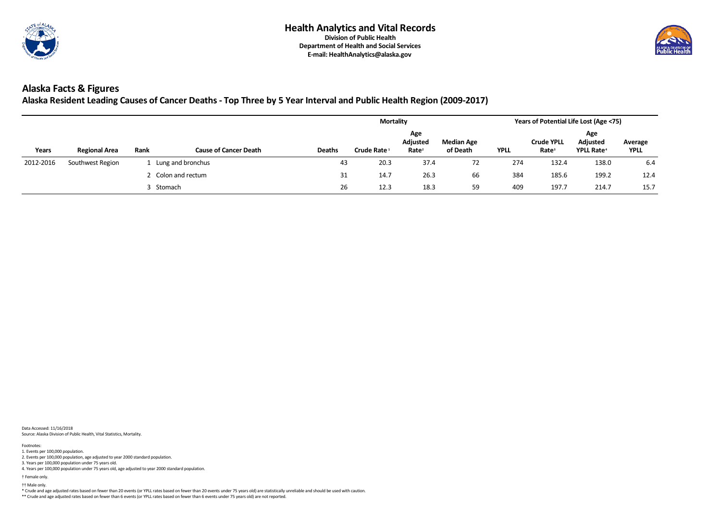

## **Alaska Facts & Figures**

**Alaska Resident Leading Causes of Cancer Deaths - Top Three by 5 Year Interval and Public Health Region (2009-2017)**

|           |                      |      |                              |               | <b>Mortality</b>        |                                      | Years of Potential Life Lost (Age <75) |             |                                        |                                                 |                        |  |
|-----------|----------------------|------|------------------------------|---------------|-------------------------|--------------------------------------|----------------------------------------|-------------|----------------------------------------|-------------------------------------------------|------------------------|--|
| Years     | <b>Regional Area</b> | Rank | <b>Cause of Cancer Death</b> | <b>Deaths</b> | Crude Rate <sup>1</sup> | Age<br>Adjusted<br>Rate <sup>2</sup> | <b>Median Age</b><br>of Death          | <b>YPLL</b> | <b>Crude YPLL</b><br>Rate <sup>3</sup> | Age<br>Adjusted<br><b>YPLL Rate<sup>4</sup></b> | Average<br><b>YPLL</b> |  |
| 2012-2016 | Southwest Region     |      | 1 Lung and bronchus          | 43            | 20.3                    | 37.4                                 | 72                                     | 274         | 132.4                                  | 138.0                                           | 6.4                    |  |
|           |                      |      | 2 Colon and rectum           | 31            | 14.7                    | 26.3                                 | 66                                     | 384         | 185.6                                  | 199.2                                           | 12.4                   |  |
|           |                      |      | 3 Stomach                    | 26            | 12.3                    | 18.3                                 | 59                                     | 409         | 197.7                                  | 214.7                                           | 15.7                   |  |

Data Accessed: 11/16/2018 Source: Alaska Division of Public Health, Vital Statistics, Mortality.

\* Crude and age adjusted rates based on fewer than 20 events (or YPLL rates based on fewer than 20 events under 75 years old) are statistically unreliable and should be used with caution.

\*\* Crude and age adjusted rates based on fewer than 6 events (or YPLL rates based on fewer than 6 events under 75 years old) are not reported.



† Male only. †

4. Years per 100,000 population under 75 years old, age adjusted to year 2000 standard population.

† Female only.

2. Events per 100,000 population, age adjusted to year 2000 standard population.

3. Years per 100,000 population under 75 years old.

Footnotes: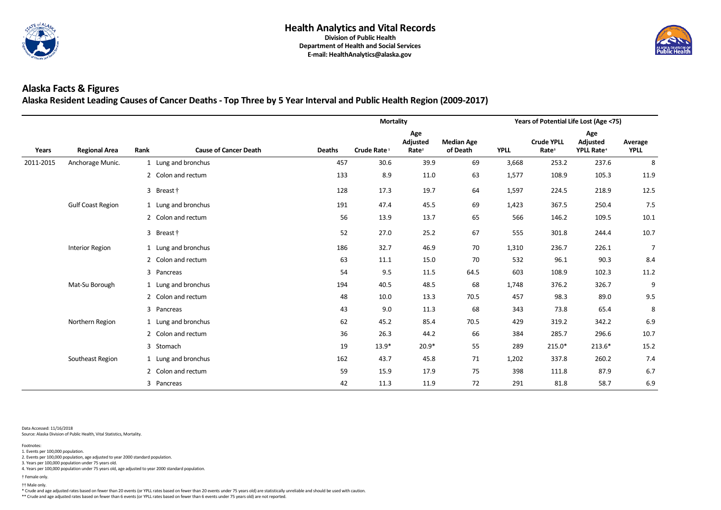

|           |                          |      |                              |               | <b>Mortality</b>        |                                      |                               | <b>Years of Potential Life Lost (Age &lt;75)</b> |                                        |                                                 |                        |  |
|-----------|--------------------------|------|------------------------------|---------------|-------------------------|--------------------------------------|-------------------------------|--------------------------------------------------|----------------------------------------|-------------------------------------------------|------------------------|--|
| Years     | <b>Regional Area</b>     | Rank | <b>Cause of Cancer Death</b> | <b>Deaths</b> | Crude Rate <sup>1</sup> | Age<br>Adjusted<br>Rate <sup>2</sup> | <b>Median Age</b><br>of Death | <b>YPLL</b>                                      | <b>Crude YPLL</b><br>Rate <sup>3</sup> | Age<br>Adjusted<br><b>YPLL Rate<sup>4</sup></b> | Average<br><b>YPLL</b> |  |
| 2011-2015 | Anchorage Munic.         |      | 1 Lung and bronchus          | 457           | 30.6                    | 39.9                                 | 69                            | 3,668                                            | 253.2                                  | 237.6                                           | 8                      |  |
|           |                          |      | 2 Colon and rectum           | 133           | 8.9                     | 11.0                                 | 63                            | 1,577                                            | 108.9                                  | 105.3                                           | 11.9                   |  |
|           |                          |      | 3 Breast†                    | 128           | 17.3                    | 19.7                                 | 64                            | 1,597                                            | 224.5                                  | 218.9                                           | 12.5                   |  |
|           | <b>Gulf Coast Region</b> |      | 1 Lung and bronchus          | 191           | 47.4                    | 45.5                                 | 69                            | 1,423                                            | 367.5                                  | 250.4                                           | 7.5                    |  |
|           |                          |      | 2 Colon and rectum           | 56            | 13.9                    | 13.7                                 | 65                            | 566                                              | 146.2                                  | 109.5                                           | $10.1\,$               |  |
|           |                          |      | 3 Breast†                    | 52            | 27.0                    | 25.2                                 | 67                            | 555                                              | 301.8                                  | 244.4                                           | $10.7$                 |  |
|           | <b>Interior Region</b>   |      | 1 Lung and bronchus          | 186           | 32.7                    | 46.9                                 | 70                            | 1,310                                            | 236.7                                  | 226.1                                           | $\overline{7}$         |  |
|           |                          |      | 2 Colon and rectum           | 63            | 11.1                    | 15.0                                 | 70                            | 532                                              | 96.1                                   | 90.3                                            | 8.4                    |  |
|           |                          |      | 3 Pancreas                   | 54            | 9.5                     | 11.5                                 | 64.5                          | 603                                              | 108.9                                  | 102.3                                           | 11.2                   |  |
|           | Mat-Su Borough           |      | 1 Lung and bronchus          | 194           | 40.5                    | 48.5                                 | 68                            | 1,748                                            | 376.2                                  | 326.7                                           | 9                      |  |
|           |                          |      | 2 Colon and rectum           | 48            | 10.0                    | 13.3                                 | 70.5                          | 457                                              | 98.3                                   | 89.0                                            | 9.5                    |  |
|           |                          |      | 3 Pancreas                   | 43            | 9.0                     | 11.3                                 | 68                            | 343                                              | 73.8                                   | 65.4                                            | 8                      |  |
|           | Northern Region          |      | 1 Lung and bronchus          | 62            | 45.2                    | 85.4                                 | 70.5                          | 429                                              | 319.2                                  | 342.2                                           | 6.9                    |  |
|           |                          |      | 2 Colon and rectum           | 36            | 26.3                    | 44.2                                 | 66                            | 384                                              | 285.7                                  | 296.6                                           | $10.7$                 |  |
|           |                          |      | 3 Stomach                    | 19            | $13.9*$                 | $20.9*$                              | 55                            | 289                                              | $215.0*$                               | 213.6*                                          | 15.2                   |  |
|           | Southeast Region         |      | 1 Lung and bronchus          | 162           | 43.7                    | 45.8                                 | 71                            | 1,202                                            | 337.8                                  | 260.2                                           | 7.4                    |  |
|           |                          |      | 2 Colon and rectum           | 59            | 15.9                    | 17.9                                 | 75                            | 398                                              | 111.8                                  | 87.9                                            | 6.7                    |  |
|           |                          |      | 3 Pancreas                   | 42            | 11.3                    | 11.9                                 | 72                            | 291                                              | 81.8                                   | 58.7                                            | 6.9                    |  |

Data Accessed: 11/16/2018

Source: Alaska Division of Public Health, Vital Statistics, Mortality.

\* Crude and age adjusted rates based on fewer than 20 events (or YPLL rates based on fewer than 20 events under 75 years old) are statistically unreliable and should be used with caution.

\*\* Crude and age adjusted rates based on fewer than 6 events (or YPLL rates based on fewer than 6 events under 75 years old) are not reported.



† Male only. †

4. Years per 100,000 population under 75 years old, age adjusted to year 2000 standard population.

† Female only.

2. Events per 100,000 population, age adjusted to year 2000 standard population.

3. Years per 100,000 population under 75 years old.

Footnotes: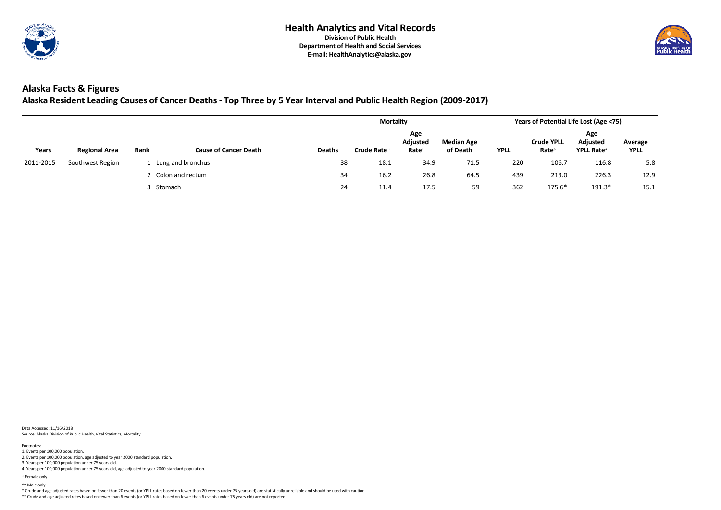

## **Alaska Facts & Figures**

**Alaska Resident Leading Causes of Cancer Deaths - Top Three by 5 Year Interval and Public Health Region (2009-2017)**

|           |                      |      |                              |               | <b>Mortality</b>        |                                      | Years of Potential Life Lost (Age <75) |             |                                        |                                                 |                        |  |
|-----------|----------------------|------|------------------------------|---------------|-------------------------|--------------------------------------|----------------------------------------|-------------|----------------------------------------|-------------------------------------------------|------------------------|--|
| Years     | <b>Regional Area</b> | Rank | <b>Cause of Cancer Death</b> | <b>Deaths</b> | Crude Rate <sup>1</sup> | Age<br>Adjusted<br>Rate <sup>2</sup> | <b>Median Age</b><br>of Death          | <b>YPLL</b> | <b>Crude YPLL</b><br>Rate <sup>3</sup> | Age<br>Adjusted<br><b>YPLL Rate<sup>4</sup></b> | Average<br><b>YPLL</b> |  |
| 2011-2015 | Southwest Region     |      | 1 Lung and bronchus          | 38            | 18.1                    | 34.9                                 | 71.5                                   | 220         | 106.7                                  | 116.8                                           | 5.8                    |  |
|           |                      |      | 2 Colon and rectum           | 34            | 16.2                    | 26.8                                 | 64.5                                   | 439         | 213.0                                  | 226.3                                           | 12.9                   |  |
|           |                      |      | 3 Stomach                    | 24            | 11.4                    | 17.5                                 | 59                                     | 362         | 175.6*                                 | 191.3*                                          | 15.1                   |  |

Data Accessed: 11/16/2018 Source: Alaska Division of Public Health, Vital Statistics, Mortality.

\* Crude and age adjusted rates based on fewer than 20 events (or YPLL rates based on fewer than 20 events under 75 years old) are statistically unreliable and should be used with caution.

\*\* Crude and age adjusted rates based on fewer than 6 events (or YPLL rates based on fewer than 6 events under 75 years old) are not reported.



† Male only. †

4. Years per 100,000 population under 75 years old, age adjusted to year 2000 standard population.

† Female only.

2. Events per 100,000 population, age adjusted to year 2000 standard population.

3. Years per 100,000 population under 75 years old.

Footnotes: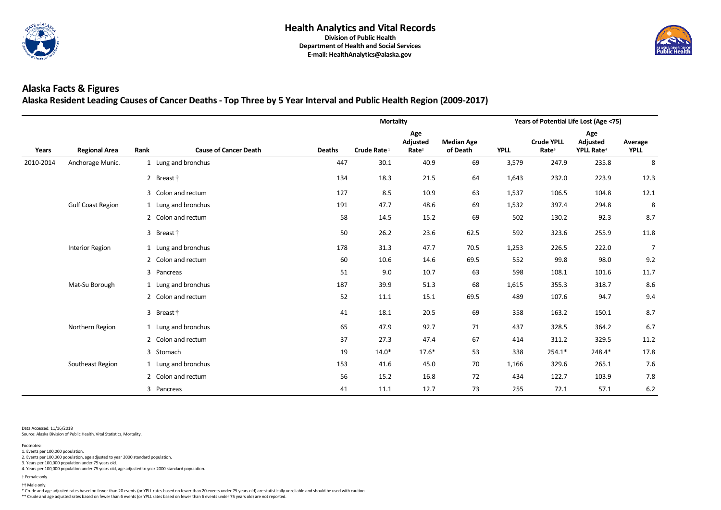

|           |                          |      |                              |               |                         | <b>Years of Potential Life Lost (Age &lt;75)</b> |                               |             |                                        |                                                 |                        |
|-----------|--------------------------|------|------------------------------|---------------|-------------------------|--------------------------------------------------|-------------------------------|-------------|----------------------------------------|-------------------------------------------------|------------------------|
| Years     | <b>Regional Area</b>     | Rank | <b>Cause of Cancer Death</b> | <b>Deaths</b> | Crude Rate <sup>1</sup> | Age<br>Adjusted<br>Rate <sup>2</sup>             | <b>Median Age</b><br>of Death | <b>YPLL</b> | <b>Crude YPLL</b><br>Rate <sup>3</sup> | Age<br>Adjusted<br><b>YPLL Rate<sup>4</sup></b> | Average<br><b>YPLL</b> |
| 2010-2014 | Anchorage Munic.         |      | 1 Lung and bronchus          | 447           | 30.1                    | 40.9                                             | 69                            | 3,579       | 247.9                                  | 235.8                                           | 8                      |
|           |                          |      | 2 Breast†                    | 134           | 18.3                    | 21.5                                             | 64                            | 1,643       | 232.0                                  | 223.9                                           | 12.3                   |
|           |                          |      | 3 Colon and rectum           | 127           | 8.5                     | 10.9                                             | 63                            | 1,537       | 106.5                                  | 104.8                                           | 12.1                   |
|           | <b>Gulf Coast Region</b> |      | 1 Lung and bronchus          | 191           | 47.7                    | 48.6                                             | 69                            | 1,532       | 397.4                                  | 294.8                                           | 8                      |
|           |                          |      | 2 Colon and rectum           | 58            | 14.5                    | 15.2                                             | 69                            | 502         | 130.2                                  | 92.3                                            | 8.7                    |
|           |                          |      | 3 Breast†                    | 50            | 26.2                    | 23.6                                             | 62.5                          | 592         | 323.6                                  | 255.9                                           | 11.8                   |
|           | <b>Interior Region</b>   |      | 1 Lung and bronchus          | 178           | 31.3                    | 47.7                                             | 70.5                          | 1,253       | 226.5                                  | 222.0                                           | $\overline{7}$         |
|           |                          |      | 2 Colon and rectum           | 60            | 10.6                    | 14.6                                             | 69.5                          | 552         | 99.8                                   | 98.0                                            | 9.2                    |
|           |                          |      | 3 Pancreas                   | 51            | 9.0                     | $10.7$                                           | 63                            | 598         | 108.1                                  | 101.6                                           | $11.7\,$               |
|           | Mat-Su Borough           |      | 1 Lung and bronchus          | 187           | 39.9                    | 51.3                                             | 68                            | 1,615       | 355.3                                  | 318.7                                           | 8.6                    |
|           |                          |      | 2 Colon and rectum           | 52            | 11.1                    | 15.1                                             | 69.5                          | 489         | 107.6                                  | 94.7                                            | 9.4                    |
|           |                          |      | 3 Breast†                    | 41            | 18.1                    | 20.5                                             | 69                            | 358         | 163.2                                  | 150.1                                           | 8.7                    |
|           | Northern Region          |      | 1 Lung and bronchus          | 65            | 47.9                    | 92.7                                             | 71                            | 437         | 328.5                                  | 364.2                                           | 6.7                    |
|           |                          |      | 2 Colon and rectum           | 37            | 27.3                    | 47.4                                             | 67                            | 414         | 311.2                                  | 329.5                                           | 11.2                   |
|           |                          |      | 3 Stomach                    | 19            | $14.0*$                 | $17.6*$                                          | 53                            | 338         | $254.1*$                               | 248.4*                                          | 17.8                   |
|           | Southeast Region         |      | 1 Lung and bronchus          | 153           | 41.6                    | 45.0                                             | 70                            | 1,166       | 329.6                                  | 265.1                                           | 7.6                    |
|           |                          |      | 2 Colon and rectum           | 56            | 15.2                    | 16.8                                             | 72                            | 434         | 122.7                                  | 103.9                                           | 7.8                    |
|           |                          |      | 3 Pancreas                   | 41            | 11.1                    | 12.7                                             | 73                            | 255         | 72.1                                   | 57.1                                            | 6.2                    |

Data Accessed: 11/16/2018

Source: Alaska Division of Public Health, Vital Statistics, Mortality.

\* Crude and age adjusted rates based on fewer than 20 events (or YPLL rates based on fewer than 20 events under 75 years old) are statistically unreliable and should be used with caution.

\*\* Crude and age adjusted rates based on fewer than 6 events (or YPLL rates based on fewer than 6 events under 75 years old) are not reported.



† Male only. †

4. Years per 100,000 population under 75 years old, age adjusted to year 2000 standard population.

† Female only.

2. Events per 100,000 population, age adjusted to year 2000 standard population.

3. Years per 100,000 population under 75 years old.

Footnotes: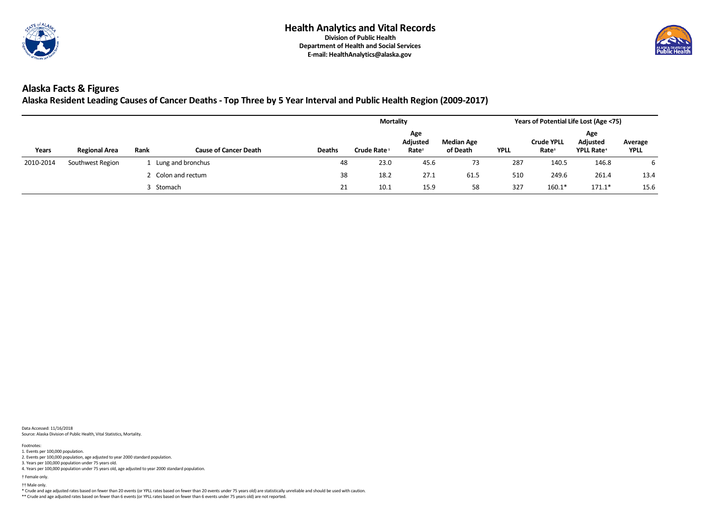

## **Alaska Facts & Figures**

**Alaska Resident Leading Causes of Cancer Deaths - Top Three by 5 Year Interval and Public Health Region (2009-2017)**

|           |                      |      |                              |               | <b>Mortality</b>        |                                      | Years of Potential Life Lost (Age <75) |             |                                        |                                                 |                        |  |
|-----------|----------------------|------|------------------------------|---------------|-------------------------|--------------------------------------|----------------------------------------|-------------|----------------------------------------|-------------------------------------------------|------------------------|--|
| Years     | <b>Regional Area</b> | Rank | <b>Cause of Cancer Death</b> | <b>Deaths</b> | Crude Rate <sup>1</sup> | Age<br>Adjusted<br>Rate <sup>2</sup> | <b>Median Age</b><br>of Death          | <b>YPLL</b> | <b>Crude YPLL</b><br>Rate <sup>3</sup> | Age<br>Adjusted<br><b>YPLL Rate<sup>4</sup></b> | Average<br><b>YPLL</b> |  |
| 2010-2014 | Southwest Region     |      | 1 Lung and bronchus          | 48            | 23.0                    | 45.6                                 | 73                                     | 287         | 140.5                                  | 146.8                                           | 6                      |  |
|           |                      |      | 2 Colon and rectum           | 38            | 18.2                    | 27.1                                 | 61.5                                   | 510         | 249.6                                  | 261.4                                           | 13.4                   |  |
|           |                      |      | 3 Stomach                    | 21            | 10.1                    | 15.9                                 | 58                                     | 327         | $160.1*$                               | $171.1*$                                        | 15.6                   |  |

Data Accessed: 11/16/2018 Source: Alaska Division of Public Health, Vital Statistics, Mortality.

\* Crude and age adjusted rates based on fewer than 20 events (or YPLL rates based on fewer than 20 events under 75 years old) are statistically unreliable and should be used with caution. \*\* Crude and age adjusted rates based on fewer than 6 events (or YPLL rates based on fewer than 6 events under 75 years old) are not reported.



† Male only. †

4. Years per 100,000 population under 75 years old, age adjusted to year 2000 standard population.

† Female only.

2. Events per 100,000 population, age adjusted to year 2000 standard population.

3. Years per 100,000 population under 75 years old.

Footnotes: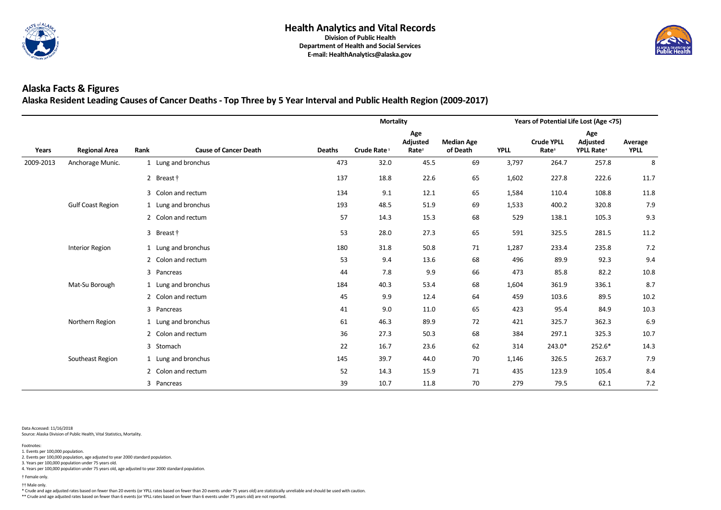

|           |                          |      |                              |               | <b>Mortality</b>        |                                      |                               | <b>Years of Potential Life Lost (Age &lt;75)</b> |                                        |                                                  |                        |  |
|-----------|--------------------------|------|------------------------------|---------------|-------------------------|--------------------------------------|-------------------------------|--------------------------------------------------|----------------------------------------|--------------------------------------------------|------------------------|--|
| Years     | <b>Regional Area</b>     | Rank | <b>Cause of Cancer Death</b> | <b>Deaths</b> | Crude Rate <sup>1</sup> | Age<br>Adjusted<br>Rate <sup>2</sup> | <b>Median Age</b><br>of Death | <b>YPLL</b>                                      | <b>Crude YPLL</b><br>Rate <sup>3</sup> | Age<br><b>Adjusted</b><br>YPLL Rate <sup>4</sup> | Average<br><b>YPLL</b> |  |
| 2009-2013 | Anchorage Munic.         |      | 1 Lung and bronchus          | 473           | 32.0                    | 45.5                                 | 69                            | 3,797                                            | 264.7                                  | 257.8                                            | 8                      |  |
|           |                          |      | 2 Breast†                    | 137           | 18.8                    | 22.6                                 | 65                            | 1,602                                            | 227.8                                  | 222.6                                            | 11.7                   |  |
|           |                          |      | 3 Colon and rectum           | 134           | 9.1                     | 12.1                                 | 65                            | 1,584                                            | 110.4                                  | 108.8                                            | 11.8                   |  |
|           | <b>Gulf Coast Region</b> |      | 1 Lung and bronchus          | 193           | 48.5                    | 51.9                                 | 69                            | 1,533                                            | 400.2                                  | 320.8                                            | 7.9                    |  |
|           |                          |      | 2 Colon and rectum           | 57            | 14.3                    | 15.3                                 | 68                            | 529                                              | 138.1                                  | 105.3                                            | 9.3                    |  |
|           |                          |      | 3 Breast†                    | 53            | 28.0                    | 27.3                                 | 65                            | 591                                              | 325.5                                  | 281.5                                            | 11.2                   |  |
|           | <b>Interior Region</b>   |      | 1 Lung and bronchus          | 180           | 31.8                    | 50.8                                 | 71                            | 1,287                                            | 233.4                                  | 235.8                                            | 7.2                    |  |
|           |                          |      | 2 Colon and rectum           | 53            | 9.4                     | 13.6                                 | 68                            | 496                                              | 89.9                                   | 92.3                                             | 9.4                    |  |
|           |                          |      | 3 Pancreas                   | 44            | 7.8                     | 9.9                                  | 66                            | 473                                              | 85.8                                   | 82.2                                             | 10.8                   |  |
|           | Mat-Su Borough           |      | 1 Lung and bronchus          | 184           | 40.3                    | 53.4                                 | 68                            | 1,604                                            | 361.9                                  | 336.1                                            | 8.7                    |  |
|           |                          |      | 2 Colon and rectum           | 45            | 9.9                     | 12.4                                 | 64                            | 459                                              | 103.6                                  | 89.5                                             | $10.2$                 |  |
|           |                          |      | 3 Pancreas                   | 41            | 9.0                     | 11.0                                 | 65                            | 423                                              | 95.4                                   | 84.9                                             | 10.3                   |  |
|           | Northern Region          |      | 1 Lung and bronchus          | 61            | 46.3                    | 89.9                                 | 72                            | 421                                              | 325.7                                  | 362.3                                            | 6.9                    |  |
|           |                          |      | 2 Colon and rectum           | 36            | 27.3                    | 50.3                                 | 68                            | 384                                              | 297.1                                  | 325.3                                            | $10.7$                 |  |
|           |                          |      | 3 Stomach                    | 22            | 16.7                    | 23.6                                 | 62                            | 314                                              | 243.0*                                 | 252.6*                                           | 14.3                   |  |
|           | Southeast Region         |      | 1 Lung and bronchus          | 145           | 39.7                    | 44.0                                 | 70                            | 1,146                                            | 326.5                                  | 263.7                                            | 7.9                    |  |
|           |                          |      | 2 Colon and rectum           | 52            | 14.3                    | 15.9                                 | 71                            | 435                                              | 123.9                                  | 105.4                                            | 8.4                    |  |
|           |                          |      | 3 Pancreas                   | 39            | 10.7                    | 11.8                                 | 70                            | 279                                              | 79.5                                   | 62.1                                             | 7.2                    |  |

Data Accessed: 11/16/2018

Source: Alaska Division of Public Health, Vital Statistics, Mortality.

\* Crude and age adjusted rates based on fewer than 20 events (or YPLL rates based on fewer than 20 events under 75 years old) are statistically unreliable and should be used with caution.

\*\* Crude and age adjusted rates based on fewer than 6 events (or YPLL rates based on fewer than 6 events under 75 years old) are not reported.



† Male only. †

4. Years per 100,000 population under 75 years old, age adjusted to year 2000 standard population.

† Female only.

2. Events per 100,000 population, age adjusted to year 2000 standard population.

3. Years per 100,000 population under 75 years old.

Footnotes: